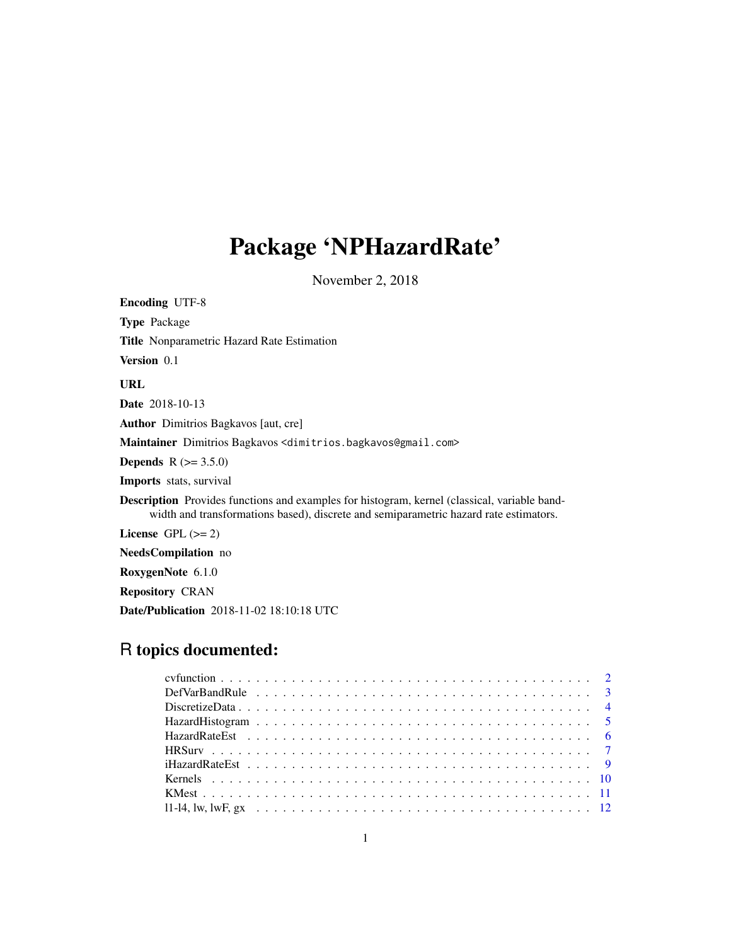# Package 'NPHazardRate'

November 2, 2018

<span id="page-0-0"></span>

| <b>Encoding UTF-8</b>                                                                                                                                                                 |
|---------------------------------------------------------------------------------------------------------------------------------------------------------------------------------------|
| <b>Type Package</b>                                                                                                                                                                   |
| Title Nonparametric Hazard Rate Estimation                                                                                                                                            |
| Version 0.1                                                                                                                                                                           |
| URL                                                                                                                                                                                   |
| <b>Date</b> 2018-10-13                                                                                                                                                                |
| Author Dimitrios Bagkavos [aut, cre]                                                                                                                                                  |
| Maintainer Dimitrios Bagkavos < dimitrios.bagkavos@gmail.com>                                                                                                                         |
| <b>Depends</b> $R (= 3.5.0)$                                                                                                                                                          |
| <b>Imports</b> stats, survival                                                                                                                                                        |
| Description Provides functions and examples for histogram, kernel (classical, variable band-<br>width and transformations based), discrete and semiparametric hazard rate estimators. |
| License GPL $(>= 2)$                                                                                                                                                                  |
| <b>NeedsCompilation</b> no                                                                                                                                                            |
| RoxygenNote 6.1.0                                                                                                                                                                     |
| <b>Repository CRAN</b>                                                                                                                                                                |
| <b>Date/Publication</b> 2018-11-02 18:10:18 UTC                                                                                                                                       |

## R topics documented: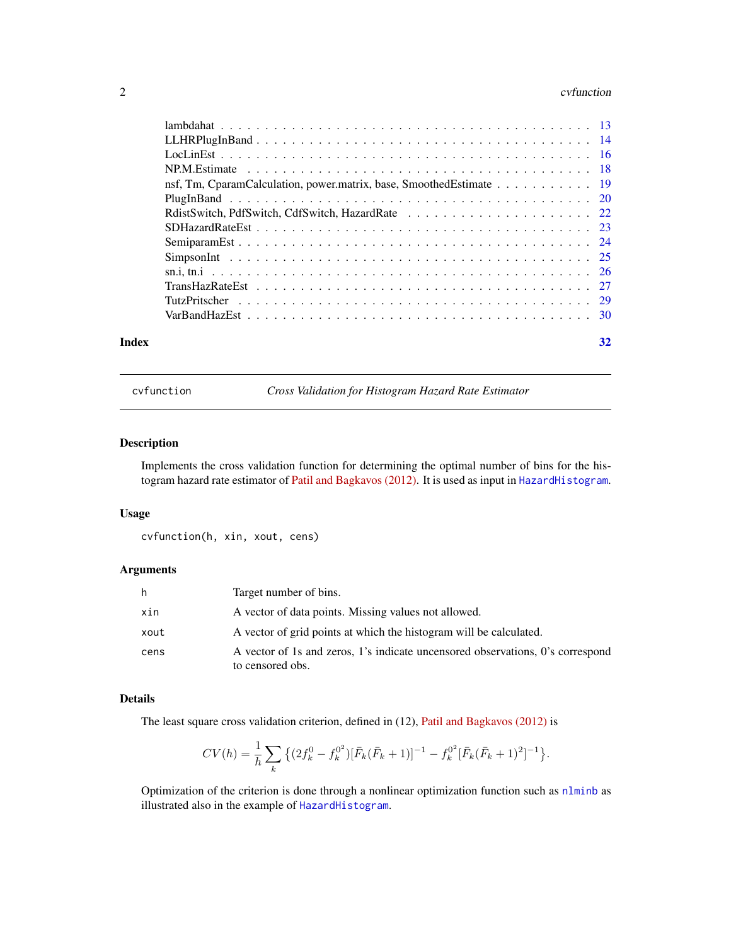#### <span id="page-1-0"></span> $2<sup>2</sup>$

|       | nsf, Tm, CparamCalculation, power.matrix, base, SmoothedEstimate 19 |    |
|-------|---------------------------------------------------------------------|----|
|       |                                                                     |    |
|       |                                                                     |    |
|       |                                                                     |    |
|       |                                                                     |    |
|       |                                                                     |    |
|       |                                                                     |    |
|       |                                                                     |    |
|       |                                                                     |    |
|       |                                                                     |    |
| Index |                                                                     | 32 |

cvfunction *Cross Validation for Histogram Hazard Rate Estimator*

#### Description

Implements the cross validation function for determining the optimal number of bins for the histogram hazard rate estimator of [Patil and Bagkavos \(2012\).](https://www.jstor.org/stable/42003749) It is used as input in [HazardHistogram](#page-4-1).

#### Usage

cvfunction(h, xin, xout, cens)

#### Arguments

| h    | Target number of bins.                                                                             |
|------|----------------------------------------------------------------------------------------------------|
| xin  | A vector of data points. Missing values not allowed.                                               |
| xout | A vector of grid points at which the histogram will be calculated.                                 |
| cens | A vector of 1s and zeros, 1's indicate uncensored observations, 0's correspond<br>to censored obs. |

#### Details

The least square cross validation criterion, defined in (12), [Patil and Bagkavos \(2012\)](https://www.jstor.org/stable/42003749) is

$$
CV(h) = \frac{1}{h} \sum_{k} \left\{ (2f_k^0 - f_k^{0^2}) [\bar{F}_k(\bar{F}_k + 1)]^{-1} - f_k^{0^2} [\bar{F}_k(\bar{F}_k + 1)^2]^{-1} \right\}.
$$

Optimization of the criterion is done through a nonlinear optimization function such as [nlminb](#page-0-0) as illustrated also in the example of [HazardHistogram](#page-4-1).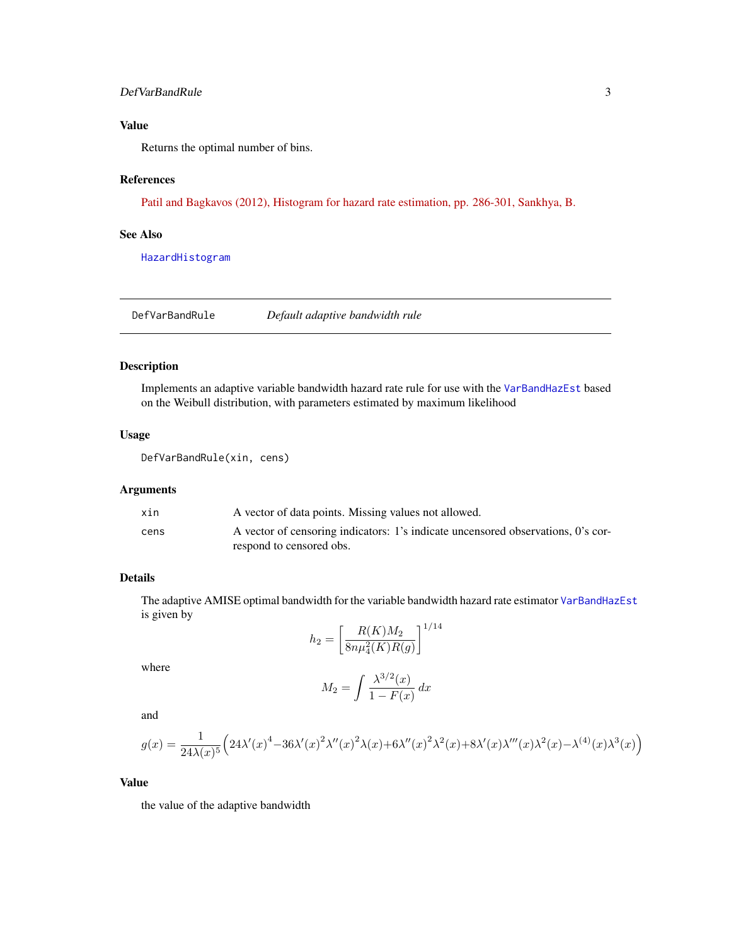#### <span id="page-2-0"></span>DefVarBandRule 3

### Value

Returns the optimal number of bins.

#### References

[Patil and Bagkavos \(2012\), Histogram for hazard rate estimation, pp. 286-301, Sankhya, B.](https://www.jstor.org/stable/42003749)

#### See Also

[HazardHistogram](#page-4-1)

DefVarBandRule *Default adaptive bandwidth rule*

#### Description

Implements an adaptive variable bandwidth hazard rate rule for use with the [VarBandHazEst](#page-29-1) based on the Weibull distribution, with parameters estimated by maximum likelihood

#### Usage

DefVarBandRule(xin, cens)

#### Arguments

| xin  | A vector of data points. Missing values not allowed.                             |
|------|----------------------------------------------------------------------------------|
| cens | A vector of censoring indicators: 1's indicate uncensored observations, 0's cor- |
|      | respond to censored obs.                                                         |

### Details

The adaptive AMISE optimal bandwidth for the variable bandwidth hazard rate estimator [VarBandHazEst](#page-29-1) is given by 1/<sup>14</sup>

$$
h_2 = \left[\frac{R(K)M_2}{8n\mu_4^2(K)R(g)}\right]^{1/4}
$$

where

$$
M_2 = \int \frac{\lambda^{3/2}(x)}{1 - F(x)} dx
$$

and

$$
g(x) = \frac{1}{24\lambda(x)^5} \left( 24\lambda'(x)^4 - 36\lambda'(x)^2 \lambda''(x)^2 \lambda(x) + 6\lambda''(x)^2 \lambda^2(x) + 8\lambda'(x) \lambda'''(x) \lambda^2(x) - \lambda^{(4)}(x) \lambda^3(x) \right)
$$

#### Value

the value of the adaptive bandwidth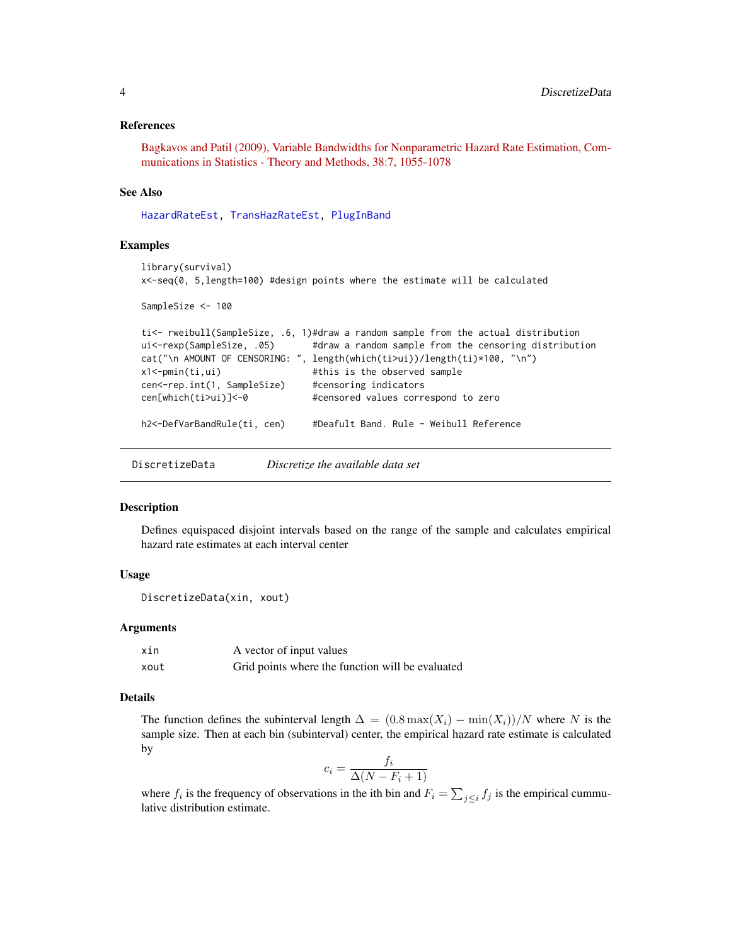#### <span id="page-3-0"></span>References

[Bagkavos and Patil \(2009\), Variable Bandwidths for Nonparametric Hazard Rate Estimation, Com](http://dx.doi.org/10.1080/03610920802364088)[munications in Statistics - Theory and Methods, 38:7, 1055-1078](http://dx.doi.org/10.1080/03610920802364088)

#### See Also

[HazardRateEst,](#page-5-1) [TransHazRateEst,](#page-26-1) [PlugInBand](#page-19-1)

#### Examples

```
library(survival)
x<-seq(0, 5,length=100) #design points where the estimate will be calculated
SampleSize <- 100
ti<- rweibull(SampleSize, .6, 1)#draw a random sample from the actual distribution
ui<-rexp(SampleSize, .05) #draw a random sample from the censoring distribution
cat("\n AMOUNT OF CENSORING: ", length(which(ti>ui))/length(ti)*100, "\n")
```

```
x1<-pmin(ti,ui) #this is the observed sample
cen<-rep.int(1, SampleSize) #censoring indicators
cen[which(ti>ui)]<-0 #censored values correspond to zero
h2<-DefVarBandRule(ti, cen) #Deafult Band. Rule - Weibull Reference
```
<span id="page-3-1"></span>DiscretizeData *Discretize the available data set*

#### Description

Defines equispaced disjoint intervals based on the range of the sample and calculates empirical hazard rate estimates at each interval center

#### Usage

```
DiscretizeData(xin, xout)
```
#### Arguments

| xin  | A vector of input values                         |
|------|--------------------------------------------------|
| xout | Grid points where the function will be evaluated |

#### Details

The function defines the subinterval length  $\Delta = (0.8 \max(X_i) - \min(X_i))/N$  where N is the sample size. Then at each bin (subinterval) center, the empirical hazard rate estimate is calculated by

$$
c_i = \frac{f_i}{\Delta(N - F_i + 1)}
$$

where  $f_i$  is the frequency of observations in the ith bin and  $F_i = \sum_{j \leq i} f_j$  is the empirical cummulative distribution estimate.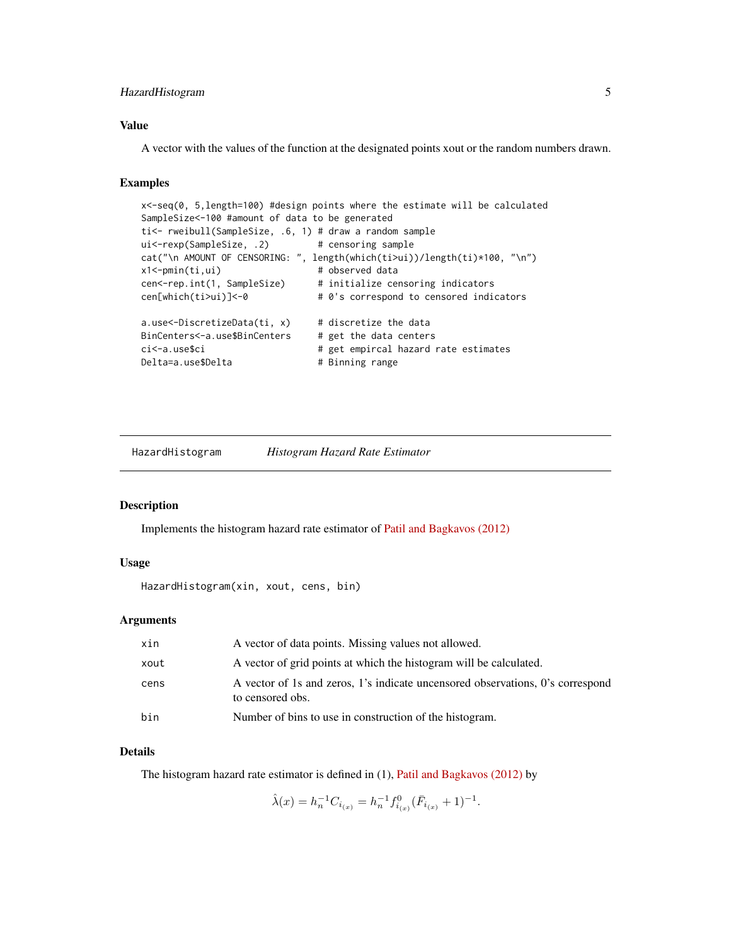#### <span id="page-4-0"></span>HazardHistogram 5

#### Value

A vector with the values of the function at the designated points xout or the random numbers drawn.

#### Examples

```
x<-seq(0, 5,length=100) #design points where the estimate will be calculated
SampleSize<-100 #amount of data to be generated
ti<- rweibull(SampleSize, .6, 1) # draw a random sample
ui<-rexp(SampleSize, .2) # censoring sample
cat("\n AMOUNT OF CENSORING: ", length(which(ti>ui))/length(ti)*100, "\n")
x1<-pmin(ti,ui) # observed data
cen<-rep.int(1, SampleSize) # initialize censoring indicators
cen[which(ti>ui)]<-0 # 0's correspond to censored indicators
a.use\le-DiscretizeData(ti, x) # discretize the data
BinCenters<-a.use$BinCenters # get the data centers
ci<-a.use$ci # get empircal hazard rate estimates
Delta=a.use$Delta # Binning range
```
<span id="page-4-1"></span>HazardHistogram *Histogram Hazard Rate Estimator*

#### Description

Implements the histogram hazard rate estimator of [Patil and Bagkavos \(2012\)](https://www.jstor.org/stable/42003749)

#### Usage

```
HazardHistogram(xin, xout, cens, bin)
```
#### **Arguments**

| xin  | A vector of data points. Missing values not allowed.                                               |
|------|----------------------------------------------------------------------------------------------------|
| xout | A vector of grid points at which the histogram will be calculated.                                 |
| cens | A vector of 1s and zeros, 1's indicate uncensored observations, 0's correspond<br>to censored obs. |
| bin  | Number of bins to use in construction of the histogram.                                            |

#### Details

The histogram hazard rate estimator is defined in (1), [Patil and Bagkavos \(2012\)](https://www.jstor.org/stable/42003749) by

$$
\hat{\lambda}(x) = h_n^{-1} C_{i_{(x)}} = h_n^{-1} f_{i_{(x)}}^0 (\bar{F}_{i_{(x)}} + 1)^{-1}.
$$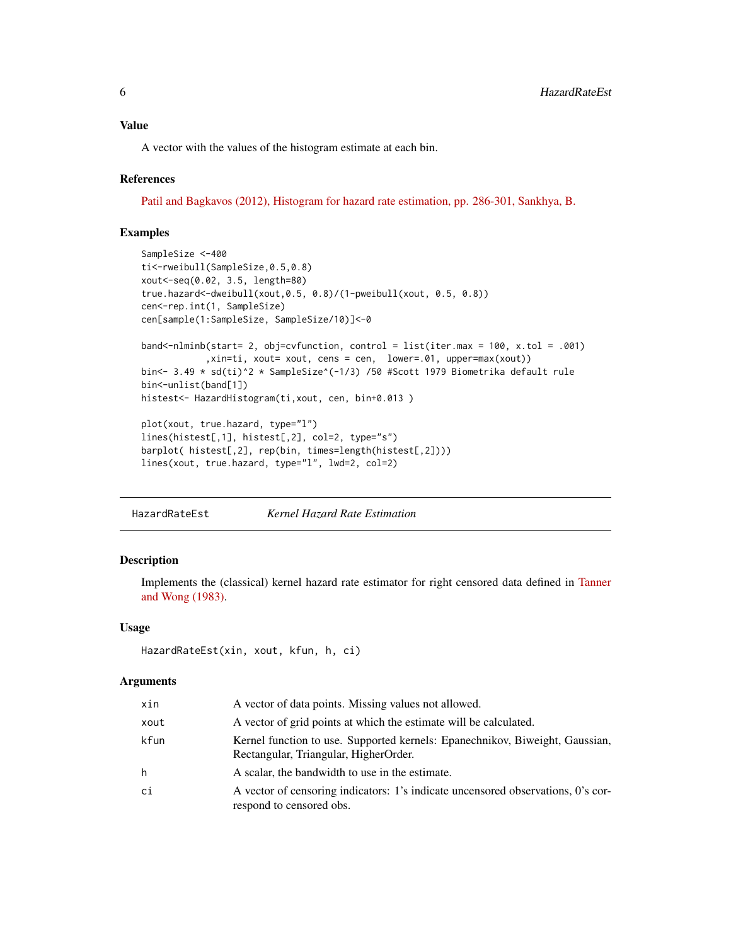#### <span id="page-5-0"></span>Value

A vector with the values of the histogram estimate at each bin.

#### References

[Patil and Bagkavos \(2012\), Histogram for hazard rate estimation, pp. 286-301, Sankhya, B.](https://www.jstor.org/stable/42003749)

#### Examples

```
SampleSize <-400
ti<-rweibull(SampleSize,0.5,0.8)
xout<-seq(0.02, 3.5, length=80)
true.hazard<-dweibull(xout,0.5, 0.8)/(1-pweibull(xout, 0.5, 0.8))
cen<-rep.int(1, SampleSize)
cen[sample(1:SampleSize, SampleSize/10)]<-0
band<-nlminb(start= 2, obj=cvfunction, control = list(iter.max = 100, x.tol = .001)
            ,xin=ti, xout= xout, cens = cen, lower=.01, upper=max(xout))
bin <- 3.49 * sd(ti)^2 * SampleSize^(-1/3) /50 #Scott 1979 Biometrika default rule
bin<-unlist(band[1])
histest<- HazardHistogram(ti,xout, cen, bin+0.013 )
plot(xout, true.hazard, type="l")
lines(histest[,1], histest[,2], col=2, type="s")
barplot( histest[,2], rep(bin, times=length(histest[,2])))
lines(xout, true.hazard, type="l", lwd=2, col=2)
```
<span id="page-5-1"></span>HazardRateEst *Kernel Hazard Rate Estimation*

#### Description

Implements the (classical) kernel hazard rate estimator for right censored data defined in [Tanner](https://projecteuclid.org/download/pdf_1/euclid.aos/1176346265) [and Wong \(1983\).](https://projecteuclid.org/download/pdf_1/euclid.aos/1176346265)

#### Usage

```
HazardRateEst(xin, xout, kfun, h, ci)
```

| xin  | A vector of data points. Missing values not allowed.                                                                  |
|------|-----------------------------------------------------------------------------------------------------------------------|
| xout | A vector of grid points at which the estimate will be calculated.                                                     |
| kfun | Kernel function to use. Supported kernels: Epanechnikov, Biweight, Gaussian,<br>Rectangular, Triangular, HigherOrder. |
| h    | A scalar, the bandwidth to use in the estimate.                                                                       |
| сi   | A vector of censoring indicators: 1's indicate uncensored observations, 0's cor-<br>respond to censored obs.          |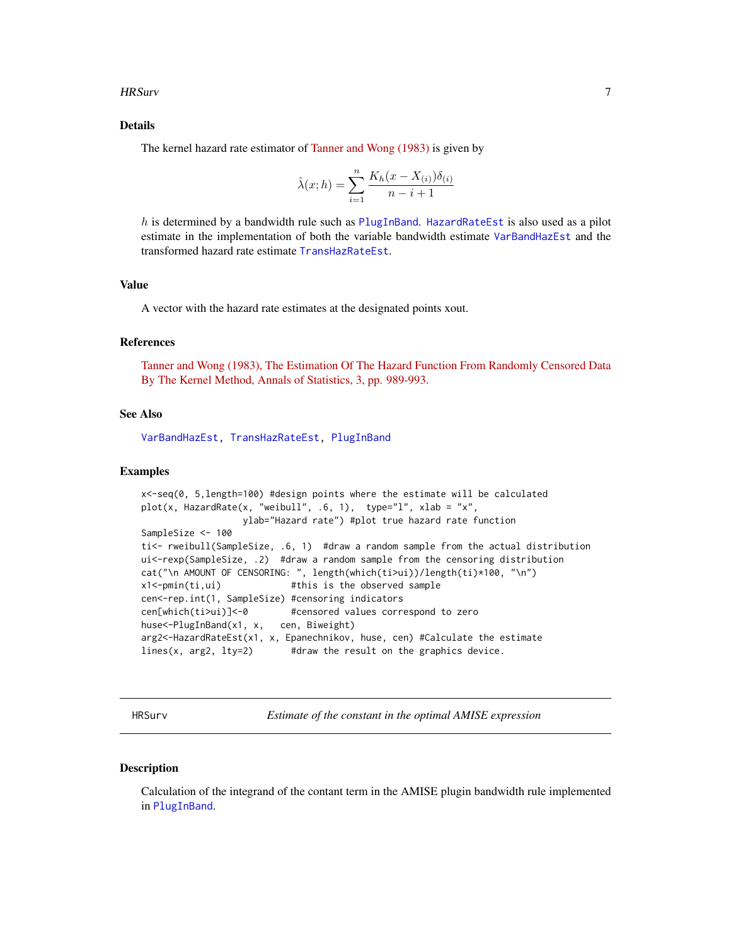#### <span id="page-6-0"></span>HRSurv 7

#### Details

The kernel hazard rate estimator of [Tanner and Wong \(1983\)](https://projecteuclid.org/download/pdf_1/euclid.aos/1176346265) is given by

$$
\hat{\lambda}(x; h) = \sum_{i=1}^{n} \frac{K_h(x - X_{(i)})\delta_{(i)}}{n - i + 1}
$$

h is determined by a bandwidth rule such as [PlugInBand](#page-19-1). [HazardRateEst](#page-5-1) is also used as a pilot estimate in the implementation of both the variable bandwidth estimate [VarBandHazEst](#page-29-1) and the transformed hazard rate estimate [TransHazRateEst](#page-26-1).

#### Value

A vector with the hazard rate estimates at the designated points xout.

#### References

[Tanner and Wong \(1983\), The Estimation Of The Hazard Function From Randomly Censored Data](https://projecteuclid.org/download/pdf_1/euclid.aos/1176346265) [By The Kernel Method, Annals of Statistics, 3, pp. 989-993.](https://projecteuclid.org/download/pdf_1/euclid.aos/1176346265)

#### See Also

[VarBandHazEst,](#page-29-1) [TransHazRateEst,](#page-26-1) [PlugInBand](#page-19-1)

#### Examples

```
x<-seq(0, 5,length=100) #design points where the estimate will be calculated
plot(x, HazardRate(x, "weibull", .6, 1), type="1", xlab = "x",ylab="Hazard rate") #plot true hazard rate function
SampleSize <- 100
ti<- rweibull(SampleSize, .6, 1) #draw a random sample from the actual distribution
ui<-rexp(SampleSize, .2) #draw a random sample from the censoring distribution
cat("\n AMOUNT OF CENSORING: ", length(which(ti>ui))/length(ti)*100, "\n")
x1<-pmin(ti,ui) #this is the observed sample
cen<-rep.int(1, SampleSize) #censoring indicators
cen[which(ti>ui)]<-0 #censored values correspond to zero
huse<-PlugInBand(x1, x, cen, Biweight)
arg2<-HazardRateEst(x1, x, Epanechnikov, huse, cen) #Calculate the estimate
lines(x, arg2, lty=2) #draw the result on the graphics device.
```
<span id="page-6-1"></span>HRSurv *Estimate of the constant in the optimal AMISE expression*

#### Description

Calculation of the integrand of the contant term in the AMISE plugin bandwidth rule implemented in [PlugInBand](#page-19-1).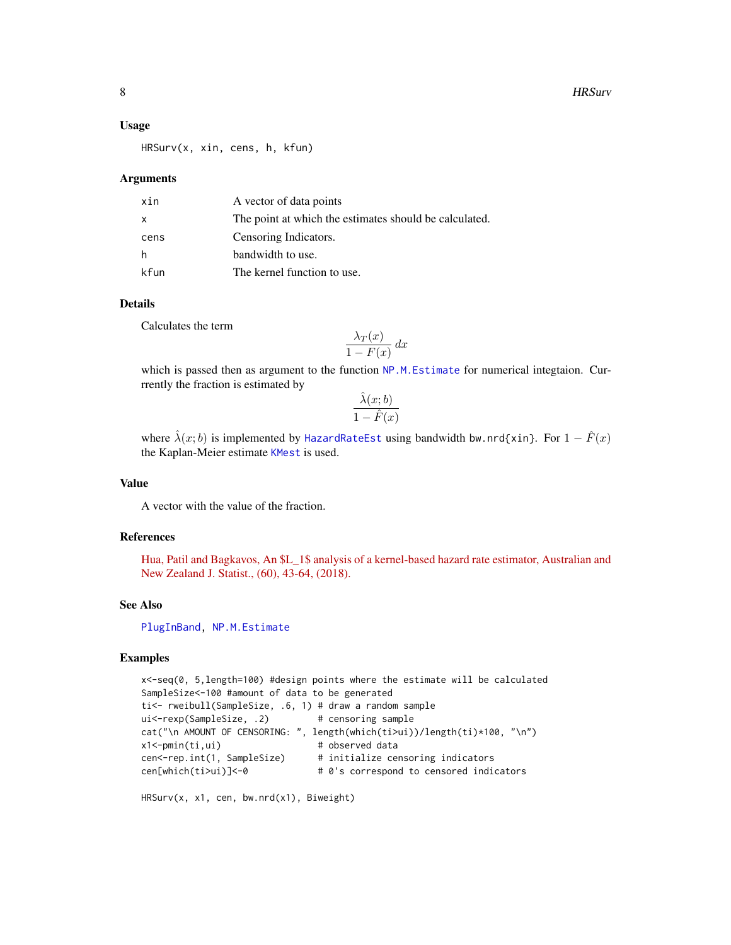<span id="page-7-0"></span>8 Beach and the set of the set of the set of the set of the set of the set of the set of the set of the set of the set of the set of the set of the set of the set of the set of the set of the set of the set of the set of t

#### Usage

HRSurv(x, xin, cens, h, kfun)

#### Arguments

| xin          | A vector of data points                                |
|--------------|--------------------------------------------------------|
| $\mathsf{x}$ | The point at which the estimates should be calculated. |
| cens         | Censoring Indicators.                                  |
| h            | bandwidth to use.                                      |
| kfun         | The kernel function to use.                            |

#### Details

Calculates the term

$$
\frac{\lambda_T(x)}{1 - F(x)} dx
$$

which is passed then as argument to the function [NP.M.Estimate](#page-17-1) for numerical integtaion. Currrently the fraction is estimated by  $\hat{\lambda}$  (xi, b)

$$
\frac{\lambda(x;b)}{1-\hat{F}(x)}
$$

where  $\hat{\lambda}(x;b)$  is implemented by [HazardRateEst](#page-5-1) using bandwidth bw.nrd{xin}. For  $1-\hat{F}(x)$ the Kaplan-Meier estimate [KMest](#page-10-1) is used.

#### Value

A vector with the value of the fraction.

#### References

[Hua, Patil and Bagkavos, An \\$L\\_1\\$ analysis of a kernel-based hazard rate estimator, Australian and](https://onlinelibrary.wiley.com/doi/full/10.1111/anzs.12224) [New Zealand J. Statist., \(60\), 43-64, \(2018\).](https://onlinelibrary.wiley.com/doi/full/10.1111/anzs.12224)

#### See Also

[PlugInBand,](#page-19-1) [NP.M.Estimate](#page-17-1)

#### Examples

```
x<-seq(0, 5,length=100) #design points where the estimate will be calculated
SampleSize<-100 #amount of data to be generated
ti<- rweibull(SampleSize, .6, 1) # draw a random sample
ui<-rexp(SampleSize, .2) # censoring sample
cat("\n AMOUNT OF CENSORING: ", length(which(ti>ui))/length(ti)*100, "\n")
x1<-pmin(ti,ui) # observed data
cen<-rep.int(1, SampleSize) # initialize censoring indicators
cen[which(ti>ui)]<-0 # 0's correspond to censored indicators
```
HRSurv(x, x1, cen, bw.nrd(x1), Biweight)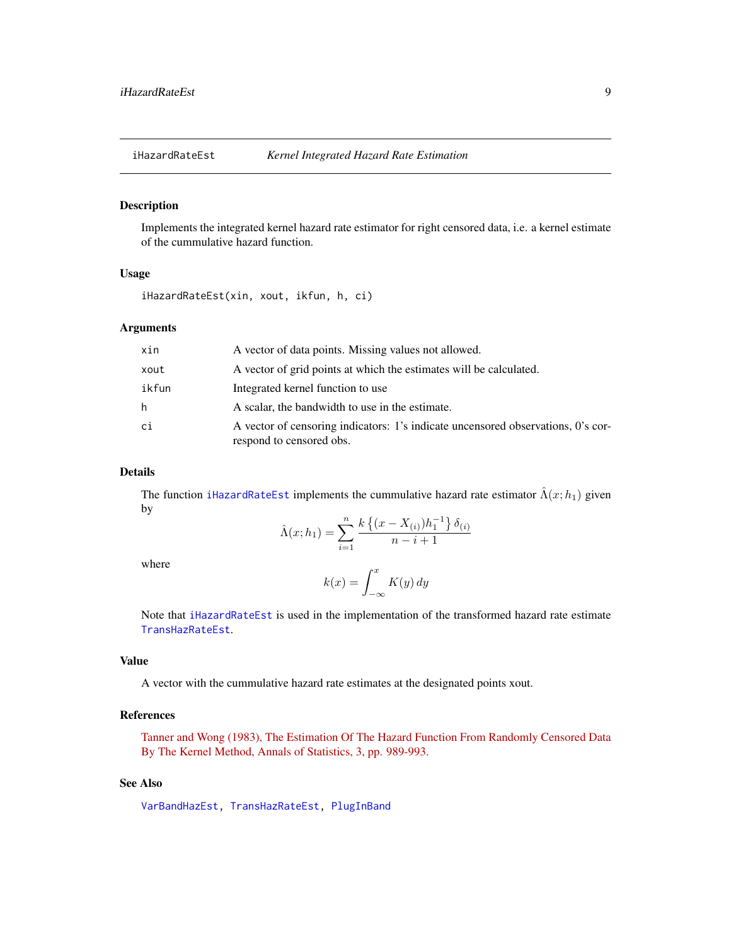<span id="page-8-1"></span><span id="page-8-0"></span>

#### Description

Implements the integrated kernel hazard rate estimator for right censored data, i.e. a kernel estimate of the cummulative hazard function.

#### Usage

iHazardRateEst(xin, xout, ikfun, h, ci)

#### Arguments

| xin   | A vector of data points. Missing values not allowed.                                                         |
|-------|--------------------------------------------------------------------------------------------------------------|
| xout  | A vector of grid points at which the estimates will be calculated.                                           |
| ikfun | Integrated kernel function to use                                                                            |
| h     | A scalar, the bandwidth to use in the estimate.                                                              |
| ci    | A vector of censoring indicators: 1's indicate uncensored observations, 0's cor-<br>respond to censored obs. |

#### Details

The function [iHazardRateEst](#page-8-1) implements the cummulative hazard rate estimator  $\hat{\Lambda}(x; h_1)$  given by

$$
\hat{\Lambda}(x; h_1) = \sum_{i=1}^{n} \frac{k \left\{ (x - X_{(i)}) h_1^{-1} \right\} \delta_{(i)}}{n - i + 1}
$$

where

$$
k(x) = \int_{-\infty}^{x} K(y) \, dy
$$

Note that [iHazardRateEst](#page-8-1) is used in the implementation of the transformed hazard rate estimate [TransHazRateEst](#page-26-1).

#### Value

A vector with the cummulative hazard rate estimates at the designated points xout.

#### References

[Tanner and Wong \(1983\), The Estimation Of The Hazard Function From Randomly Censored Data](https://projecteuclid.org/download/pdf_1/euclid.aos/1176346265) [By The Kernel Method, Annals of Statistics, 3, pp. 989-993.](https://projecteuclid.org/download/pdf_1/euclid.aos/1176346265)

#### See Also

[VarBandHazEst,](#page-29-1) [TransHazRateEst,](#page-26-1) [PlugInBand](#page-19-1)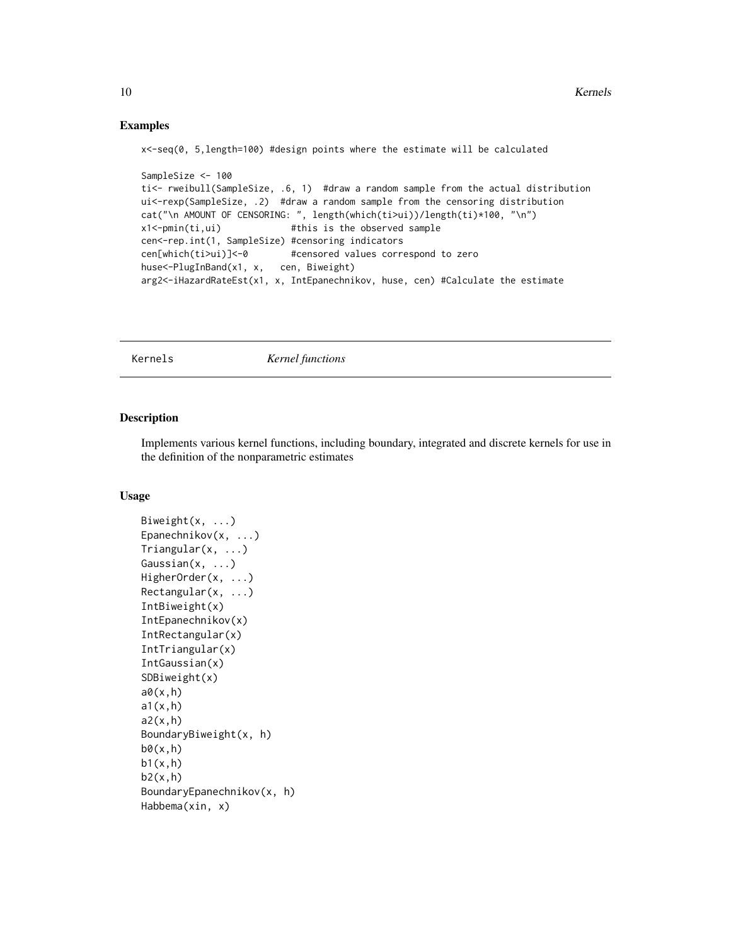#### <span id="page-9-0"></span>Examples

x<-seq(0, 5,length=100) #design points where the estimate will be calculated

```
SampleSize <- 100
ti<- rweibull(SampleSize, .6, 1) #draw a random sample from the actual distribution
ui<-rexp(SampleSize, .2) #draw a random sample from the censoring distribution
cat("\n AMOUNT OF CENSORING: ", length(which(ti>ui))/length(ti)*100, "\n")
x1<-pmin(ti,ui) #this is the observed sample
cen<-rep.int(1, SampleSize) #censoring indicators
cen[which(ti>ui)]<-0 #censored values correspond to zero
huse<-PlugInBand(x1, x, cen, Biweight)
arg2<-iHazardRateEst(x1, x, IntEpanechnikov, huse, cen) #Calculate the estimate
```
Kernels *Kernel functions*

#### <span id="page-9-1"></span>Description

Implements various kernel functions, including boundary, integrated and discrete kernels for use in the definition of the nonparametric estimates

#### Usage

```
Biweight(x, \ldots)Epanechnikov(x, ...)
Triangular(x, ...)
Gaussian(x, ...)
HigherOrder(x, ...)
Rectangular(x, ...)
IntBiweight(x)
IntEpanechnikov(x)
IntRectangular(x)
IntTriangular(x)
IntGaussian(x)
SDBiweight(x)
a\theta(x,h)a1(x,h)
a2(x,h)BoundaryBiweight(x, h)
b\theta(x,h)b1(x,h)b2(x,h)BoundaryEpanechnikov(x, h)
Habbema(xin, x)
```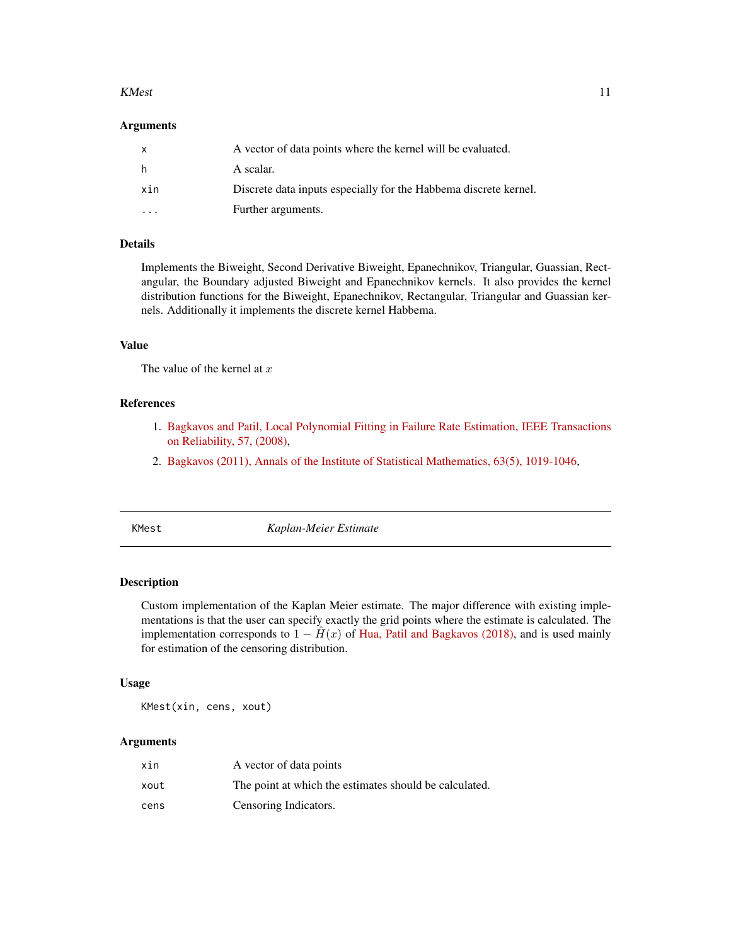#### <span id="page-10-0"></span> $K$ Mest  $11$

#### Arguments

| X   | A vector of data points where the kernel will be evaluated.      |
|-----|------------------------------------------------------------------|
| h.  | A scalar.                                                        |
| xin | Discrete data inputs especially for the Habbema discrete kernel. |
|     | Further arguments.                                               |

#### Details

Implements the Biweight, Second Derivative Biweight, Epanechnikov, Triangular, Guassian, Rectangular, the Boundary adjusted Biweight and Epanechnikov kernels. It also provides the kernel distribution functions for the Biweight, Epanechnikov, Rectangular, Triangular and Guassian kernels. Additionally it implements the discrete kernel Habbema.

#### Value

The value of the kernel at  $x$ 

#### References

- 1. [Bagkavos and Patil, Local Polynomial Fitting in Failure Rate Estimation, IEEE Transactions](https://ieeexplore.ieee.org/document/4385743) [on Reliability, 57, \(2008\),](https://ieeexplore.ieee.org/document/4385743)
- 2. [Bagkavos \(2011\), Annals of the Institute of Statistical Mathematics, 63\(5\), 1019-1046,](https://link.springer.com/article/10.1007/s10463-010-0277-6)

<span id="page-10-1"></span>

KMest *Kaplan-Meier Estimate*

#### Description

Custom implementation of the Kaplan Meier estimate. The major difference with existing implementations is that the user can specify exactly the grid points where the estimate is calculated. The implementation corresponds to  $1 - \hat{H}(x)$  of [Hua, Patil and Bagkavos \(2018\),](https://onlinelibrary.wiley.com/doi/full/10.1111/anzs.12224) and is used mainly for estimation of the censoring distribution.

#### Usage

KMest(xin, cens, xout)

| xin  | A vector of data points                                |
|------|--------------------------------------------------------|
| xout | The point at which the estimates should be calculated. |
| cens | Censoring Indicators.                                  |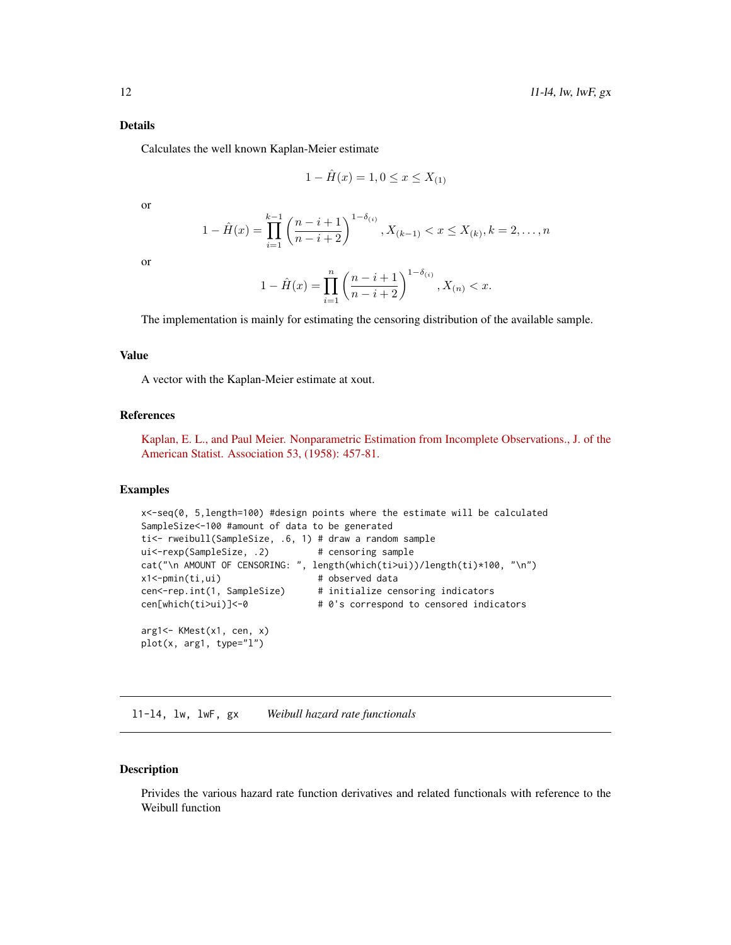#### <span id="page-11-0"></span>Details

Calculates the well known Kaplan-Meier estimate

$$
1 - \hat{H}(x) = 1, 0 \le x \le X_{(1)}
$$

or

$$
1 - \hat{H}(x) = \prod_{i=1}^{k-1} \left( \frac{n-i+1}{n-i+2} \right)^{1-\delta(i)}, X_{(k-1)} < x \le X_{(k)}, k = 2, \dots, n
$$

or

$$
1 - \hat{H}(x) = \prod_{i=1}^{n} \left( \frac{n-i+1}{n-i+2} \right)^{1-\delta(i)}, X_{(n)} < x.
$$

The implementation is mainly for estimating the censoring distribution of the available sample.

#### Value

A vector with the Kaplan-Meier estimate at xout.

#### References

[Kaplan, E. L., and Paul Meier. Nonparametric Estimation from Incomplete Observations., J. of the](https://www.jstor.org/stable/2281868) [American Statist. Association 53, \(1958\): 457-81.](https://www.jstor.org/stable/2281868)

#### Examples

```
x<-seq(0, 5,length=100) #design points where the estimate will be calculated
SampleSize<-100 #amount of data to be generated
ti<- rweibull(SampleSize, .6, 1) # draw a random sample
ui<-rexp(SampleSize, .2) # censoring sample
cat("\n AMOUNT OF CENSORING: ", length(which(ti>ui))/length(ti)*100, "\n")
x1<-pmin(ti,ui) # observed data
cen<-rep.int(1, SampleSize) # initialize censoring indicators
cen[which(ti>ui)]<-0 # 0's correspond to censored indicators
arg1<- KMest(x1, cen, x)
plot(x, arg1, type="l")
```
l1-l4, lw, lwF, gx *Weibull hazard rate functionals*

#### Description

Privides the various hazard rate function derivatives and related functionals with reference to the Weibull function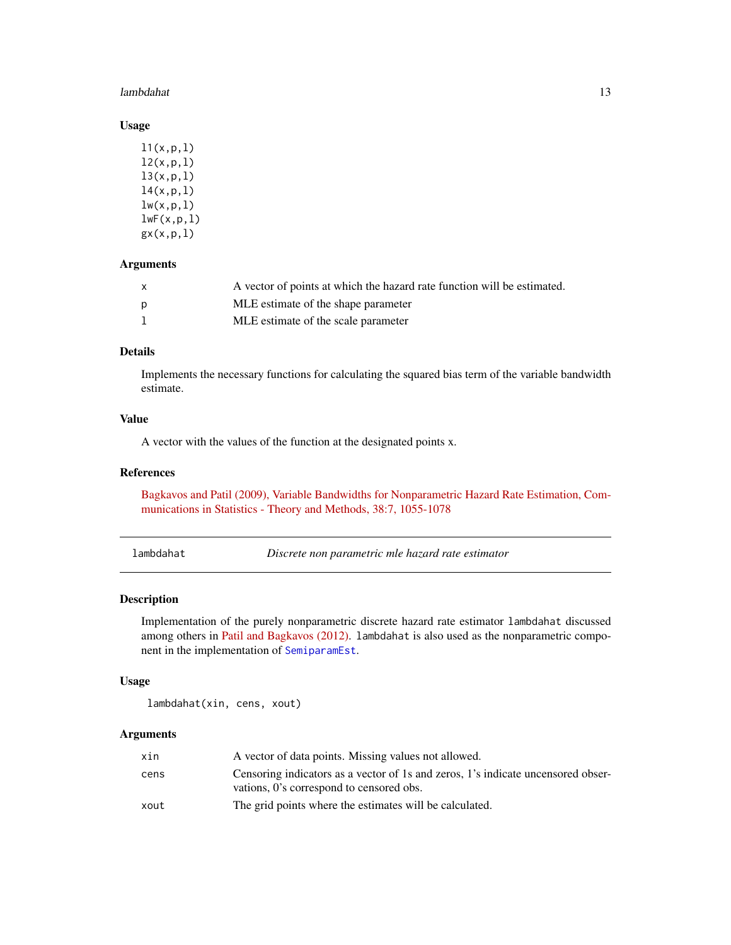#### <span id="page-12-0"></span>lambdahat 13

#### Usage

| 11(x,p,1)   |
|-------------|
| 12(x, p, 1) |
| 13(x,p,1)   |
| 14(x, p, 1) |
| lw(x,p,1)   |
| lwF(x,p,1)  |
| gx(x,p,1)   |

#### Arguments

| X            | A vector of points at which the hazard rate function will be estimated. |
|--------------|-------------------------------------------------------------------------|
| <sub>D</sub> | MLE estimate of the shape parameter                                     |
|              | MLE estimate of the scale parameter                                     |

#### Details

Implements the necessary functions for calculating the squared bias term of the variable bandwidth estimate.

#### Value

A vector with the values of the function at the designated points x.

#### References

[Bagkavos and Patil \(2009\), Variable Bandwidths for Nonparametric Hazard Rate Estimation, Com](http://dx.doi.org/10.1080/03610920802364088)[munications in Statistics - Theory and Methods, 38:7, 1055-1078](http://dx.doi.org/10.1080/03610920802364088)

<span id="page-12-1"></span>lambdahat *Discrete non parametric mle hazard rate estimator*

#### Description

Implementation of the purely nonparametric discrete hazard rate estimator lambdahat discussed among others in [Patil and Bagkavos \(2012\).](https://onlinelibrary.wiley.com/doi/abs/10.1002/bimj.201100058) lambdahat is also used as the nonparametric component in the implementation of [SemiparamEst](#page-23-1).

#### Usage

lambdahat(xin, cens, xout)

| xin  | A vector of data points. Missing values not allowed.                                                                         |
|------|------------------------------------------------------------------------------------------------------------------------------|
| cens | Censoring indicators as a vector of 1s and zeros, 1's indicate uncensored obser-<br>vations, 0's correspond to censored obs. |
| xout | The grid points where the estimates will be calculated.                                                                      |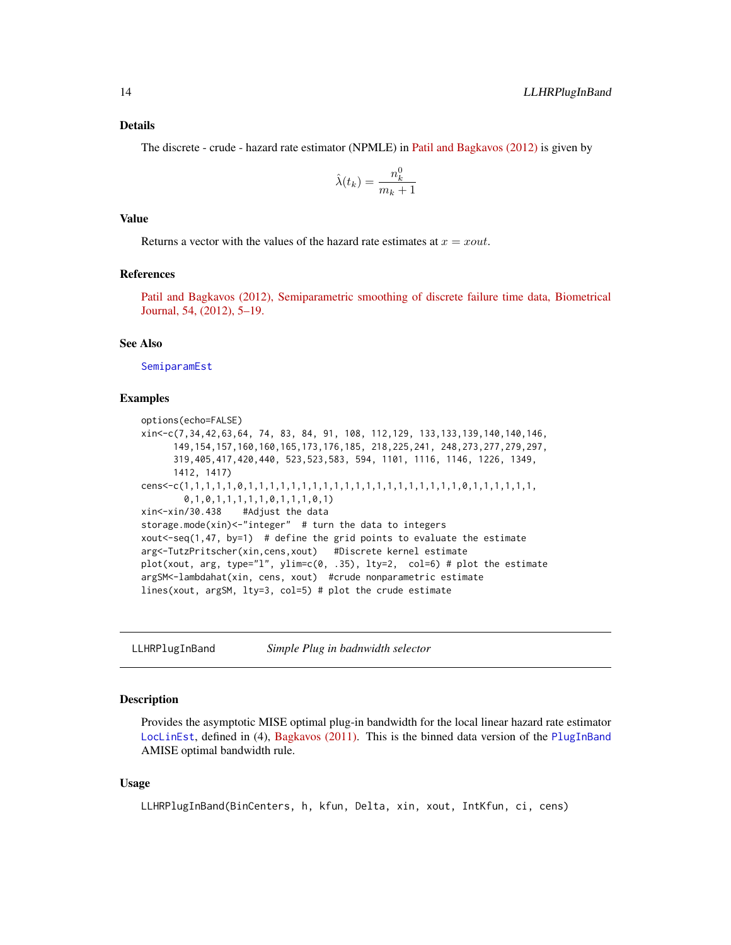#### <span id="page-13-0"></span>Details

The discrete - crude - hazard rate estimator (NPMLE) in [Patil and Bagkavos \(2012\)](https://onlinelibrary.wiley.com/doi/abs/10.1002/bimj.201100058) is given by

$$
\hat{\lambda}(t_k) = \frac{n_k^0}{m_k + 1}
$$

#### Value

Returns a vector with the values of the hazard rate estimates at  $x = xout$ .

#### References

[Patil and Bagkavos \(2012\), Semiparametric smoothing of discrete failure time data, Biometrical](https://onlinelibrary.wiley.com/doi/abs/10.1002/bimj.201100058) [Journal, 54, \(2012\), 5–19.](https://onlinelibrary.wiley.com/doi/abs/10.1002/bimj.201100058)

#### See Also

[SemiparamEst](#page-23-1)

#### Examples

```
options(echo=FALSE)
xin<-c(7,34,42,63,64, 74, 83, 84, 91, 108, 112,129, 133,133,139,140,140,146,
      149,154,157,160,160,165,173,176,185, 218,225,241, 248,273,277,279,297,
     319,405,417,420,440, 523,523,583, 594, 1101, 1116, 1146, 1226, 1349,
     1412, 1417)
cens<-c(1,1,1,1,1,0,1,1,1,1,1,1,1,1,1,1,1,1,1,1,1,1,1,1,1,1,0,1,1,1,1,1,1,
        0,1,0,1,1,1,1,1,0,1,1,1,0,1)
xin<-xin/30.438 #Adjust the data
storage.mode(xin)<-"integer" # turn the data to integers
xout <- seq(1,47, by=1) # define the grid points to evaluate the estimate
arg<-TutzPritscher(xin,cens,xout) #Discrete kernel estimate
plot(xout, arg, type="l", ylim=c(0, .35), lty=2, col=6) # plot the estimate
argSM<-lambdahat(xin, cens, xout) #crude nonparametric estimate
lines(xout, argSM, lty=3, col=5) # plot the crude estimate
```
<span id="page-13-1"></span>LLHRPlugInBand *Simple Plug in badnwidth selector*

#### **Description**

Provides the asymptotic MISE optimal plug-in bandwidth for the local linear hazard rate estimator [LocLinEst](#page-15-1), defined in (4), [Bagkavos \(2011\).](https://link.springer.com/article/10.1007/s10463-010-0277-6) This is the binned data version of the [PlugInBand](#page-19-1) AMISE optimal bandwidth rule.

#### Usage

```
LLHRPlugInBand(BinCenters, h, kfun, Delta, xin, xout, IntKfun, ci, cens)
```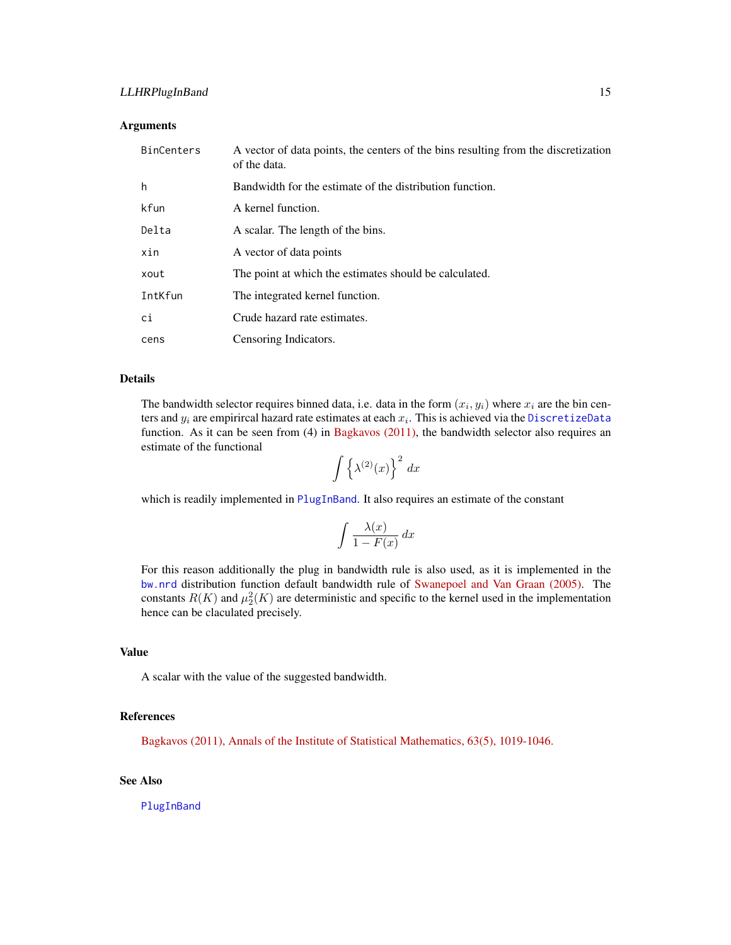#### <span id="page-14-0"></span>LLHRPlugInBand 15

#### **Arguments**

| <b>BinCenters</b> | A vector of data points, the centers of the bins resulting from the discretization<br>of the data. |
|-------------------|----------------------------------------------------------------------------------------------------|
| h                 | Bandwidth for the estimate of the distribution function.                                           |
| kfun              | A kernel function.                                                                                 |
| Delta             | A scalar. The length of the bins.                                                                  |
| xin               | A vector of data points                                                                            |
| xout              | The point at which the estimates should be calculated.                                             |
| IntKfun           | The integrated kernel function.                                                                    |
| ci                | Crude hazard rate estimates.                                                                       |
| cens              | Censoring Indicators.                                                                              |

#### Details

The bandwidth selector requires binned data, i.e. data in the form  $(x_i, y_i)$  where  $x_i$  are the bin centers and  $y_i$  are empirircal hazard rate estimates at each  $x_i$ . This is achieved via the [DiscretizeData](#page-3-1) function. As it can be seen from (4) in [Bagkavos \(2011\),](https://link.springer.com/article/10.1007/s10463-010-0277-6) the bandwidth selector also requires an estimate of the functional

$$
\int \left\{ \lambda^{(2)}(x) \right\}^2 dx
$$

which is readily implemented in [PlugInBand](#page-19-1). It also requires an estimate of the constant

$$
\int \frac{\lambda(x)}{1 - F(x)} \, dx
$$

For this reason additionally the plug in bandwidth rule is also used, as it is implemented in the [bw.nrd](#page-0-0) distribution function default bandwidth rule of [Swanepoel and Van Graan \(2005\).](https://onlinelibrary.wiley.com/doi/abs/10.1111/j.1467-9469.2005.00472.x) The constants  $R(K)$  and  $\mu_2^2(K)$  are deterministic and specific to the kernel used in the implementation hence can be claculated precisely.

#### Value

A scalar with the value of the suggested bandwidth.

#### References

[Bagkavos \(2011\), Annals of the Institute of Statistical Mathematics, 63\(5\), 1019-1046.](https://link.springer.com/article/10.1007/s10463-010-0277-6)

#### See Also

[PlugInBand](#page-19-1)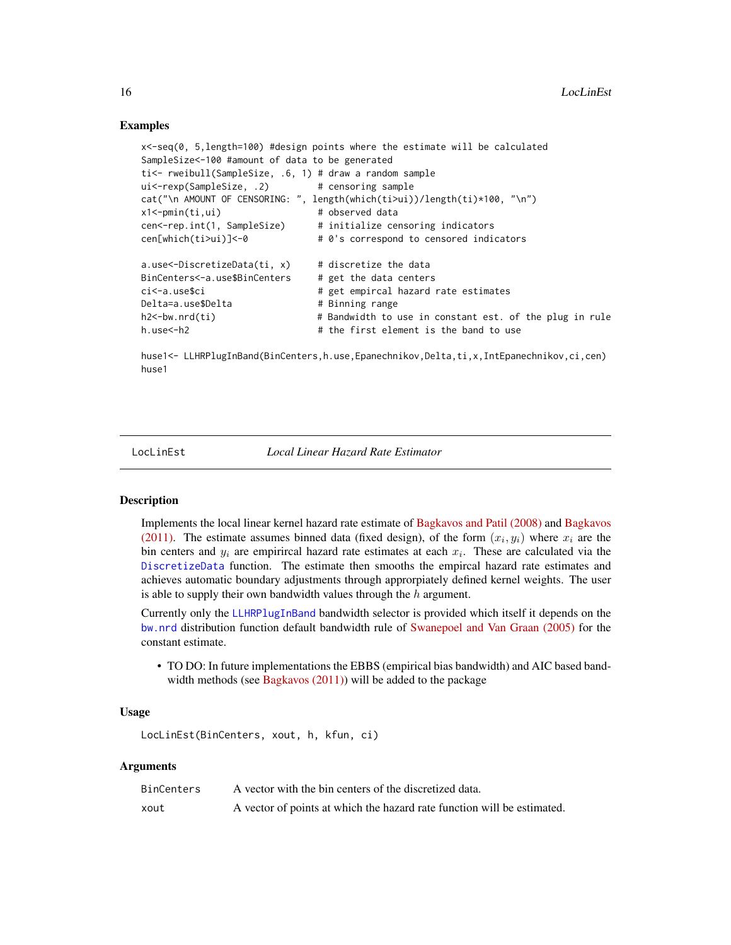#### Examples

```
x<-seq(0, 5,length=100) #design points where the estimate will be calculated
SampleSize<-100 #amount of data to be generated
ti<- rweibull(SampleSize, .6, 1) # draw a random sample
ui<-rexp(SampleSize, .2) # censoring sample
cat("\n AMOUNT OF CENSORING: ", length(which(ti>ui))/length(ti)*100, "\n")
x1<-pmin(ti,ui) # observed data
cen<-rep.int(1, SampleSize) # initialize censoring indicators
cen[which(ti>ui)]<-0 # 0's correspond to censored indicators
a.use<-DiscretizeData(ti, x) # discretize the data
BinCenters<-a.use$BinCenters # get the data centers
ci<-a.use$ci # get empircal hazard rate estimates
Delta=a.use$Delta # Binning range
h2<-bw.nrd(ti) # Bandwidth to use in constant est. of the plug in rule
h.use<-h2 # the first element is the band to use
```
huse1<- LLHRPlugInBand(BinCenters,h.use,Epanechnikov,Delta,ti,x,IntEpanechnikov,ci,cen) huse1

<span id="page-15-1"></span>

LocLinEst *Local Linear Hazard Rate Estimator*

#### **Description**

Implements the local linear kernel hazard rate estimate of [Bagkavos and Patil \(2008\)](https://ieeexplore.ieee.org/document/4385743) and [Bagkavos](https://link.springer.com/article/10.1007/s10463-010-0277-6) [\(2011\).](https://link.springer.com/article/10.1007/s10463-010-0277-6) The estimate assumes binned data (fixed design), of the form  $(x_i, y_i)$  where  $x_i$  are the bin centers and  $y_i$  are empirircal hazard rate estimates at each  $x_i$ . These are calculated via the [DiscretizeData](#page-3-1) function. The estimate then smooths the empircal hazard rate estimates and achieves automatic boundary adjustments through approrpiately defined kernel weights. The user is able to supply their own bandwidth values through the  $h$  argument.

Currently only the [LLHRPlugInBand](#page-13-1) bandwidth selector is provided which itself it depends on the [bw.nrd](#page-0-0) distribution function default bandwidth rule of [Swanepoel and Van Graan \(2005\)](https://onlinelibrary.wiley.com/doi/abs/10.1111/j.1467-9469.2005.00472.x) for the constant estimate.

• TO DO: In future implementations the EBBS (empirical bias bandwidth) and AIC based bandwidth methods (see Bagkavos  $(2011)$ ) will be added to the package

#### Usage

```
LocLinEst(BinCenters, xout, h, kfun, ci)
```

| BinCenters | A vector with the bin centers of the discretized data.                  |
|------------|-------------------------------------------------------------------------|
| xout       | A vector of points at which the hazard rate function will be estimated. |

<span id="page-15-0"></span>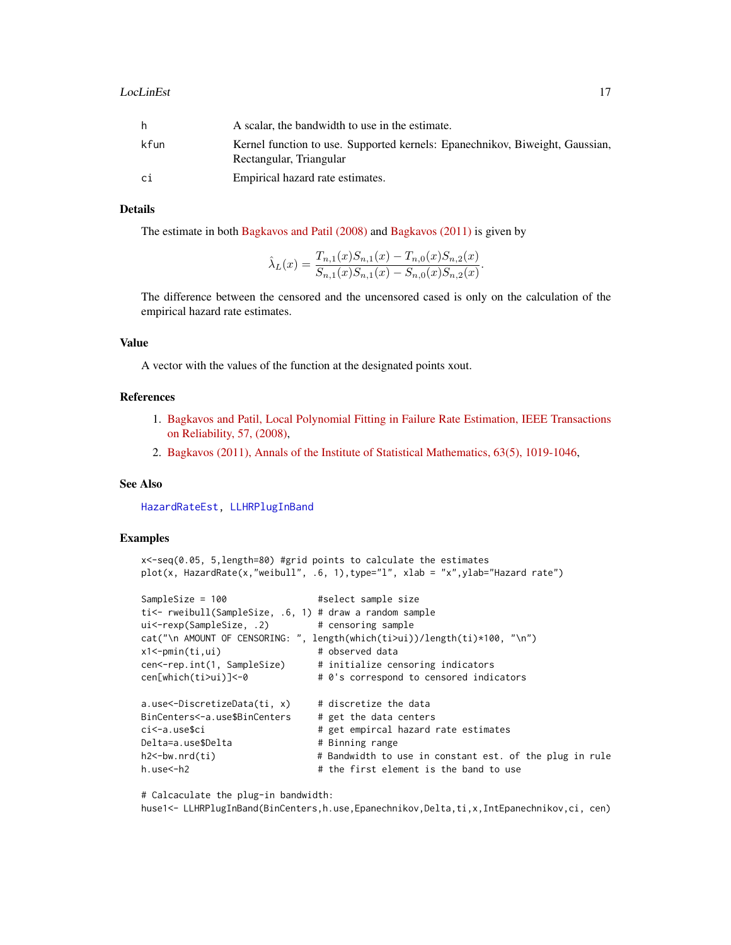<span id="page-16-0"></span>

|      | A scalar, the bandwidth to use in the estimate.                                                         |
|------|---------------------------------------------------------------------------------------------------------|
| kfun | Kernel function to use. Supported kernels: Epanechnikov, Biweight, Gaussian,<br>Rectangular, Triangular |
| сi   | Empirical hazard rate estimates.                                                                        |

#### **Details**

The estimate in both [Bagkavos and Patil \(2008\)](https://ieeexplore.ieee.org/document/4385743) and [Bagkavos \(2011\)](https://link.springer.com/article/10.1007/s10463-010-0277-6) is given by

$$
\hat{\lambda}_L(x) = \frac{T_{n,1}(x)S_{n,1}(x) - T_{n,0}(x)S_{n,2}(x)}{S_{n,1}(x)S_{n,1}(x) - S_{n,0}(x)S_{n,2}(x)}.
$$

The difference between the censored and the uncensored cased is only on the calculation of the empirical hazard rate estimates.

#### Value

A vector with the values of the function at the designated points xout.

#### References

- 1. [Bagkavos and Patil, Local Polynomial Fitting in Failure Rate Estimation, IEEE Transactions](https://ieeexplore.ieee.org/document/4385743) [on Reliability, 57, \(2008\),](https://ieeexplore.ieee.org/document/4385743)
- 2. [Bagkavos \(2011\), Annals of the Institute of Statistical Mathematics, 63\(5\), 1019-1046,](https://link.springer.com/article/10.1007/s10463-010-0277-6)

#### See Also

[HazardRateEst,](#page-5-1) [LLHRPlugInBand](#page-13-1)

#### Examples

```
x<-seq(0.05, 5,length=80) #grid points to calculate the estimates
plot(x, HazardRate(x,"weibull", .6, 1),type="l", xlab = "x",ylab="Hazard rate")
```

```
SampleSize = 100 #select sample size
ti<- rweibull(SampleSize, .6, 1) # draw a random sample
ui<-rexp(SampleSize, .2) # censoring sample
cat("\n AMOUNT OF CENSORING: ", length(which(ti>ui))/length(ti)*100, "\n")
x1<-pmin(ti,ui) # observed data
cen<-rep.int(1, SampleSize) # initialize censoring indicators
cen[which(ti>ui)]<-0 # 0's correspond to censored indicators
a.use<-DiscretizeData(ti, x) # discretize the data
BinCenters<-a.use$BinCenters # get the data centers
ci<-a.use$ci # get empircal hazard rate estimates
Delta=a.use$Delta # Binning range
h2<-bw.nrd(ti) # Bandwidth to use in constant est. of the plug in rule
h.use <- h2 <br> # the first element is the band to use
```
# Calcaculate the plug-in bandwidth:

huse1<- LLHRPlugInBand(BinCenters,h.use,Epanechnikov,Delta,ti,x,IntEpanechnikov,ci, cen)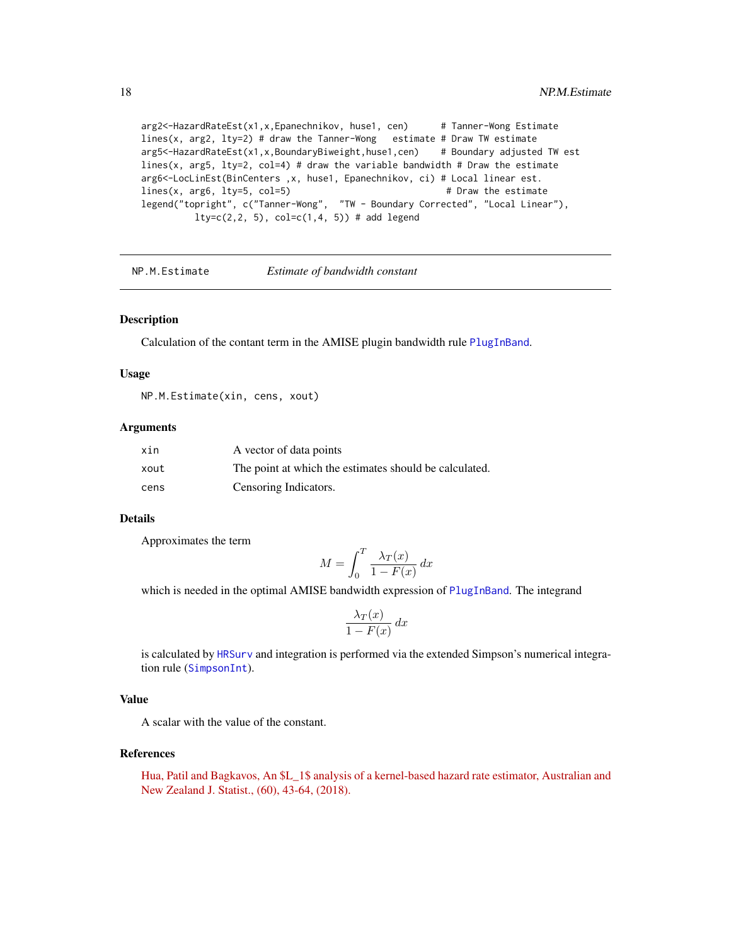arg2<-HazardRateEst(x1,x,Epanechnikov, huse1, cen) # Tanner-Wong Estimate lines(x, arg2, lty=2) # draw the Tanner-Wong estimate # Draw TW estimate arg5<-HazardRateEst(x1,x,BoundaryBiweight,huse1,cen) # Boundary adjusted TW est lines(x, arg5,  $lty=2$ ,  $col=4$ ) # draw the variable bandwidth # Draw the estimate arg6<-LocLinEst(BinCenters ,x, huse1, Epanechnikov, ci) # Local linear est.  $lines(x, arg6, lty=5, col=5)$  # Draw the estimate legend("topright", c("Tanner-Wong", "TW - Boundary Corrected", "Local Linear"),  $lty=c(2,2, 5), col=c(1,4, 5))$  # add legend

<span id="page-17-1"></span>NP.M.Estimate *Estimate of bandwidth constant*

#### **Description**

Calculation of the contant term in the AMISE plugin bandwidth rule [PlugInBand](#page-19-1).

#### Usage

NP.M.Estimate(xin, cens, xout)

#### Arguments

| xin  | A vector of data points                                |
|------|--------------------------------------------------------|
| xout | The point at which the estimates should be calculated. |
| cens | Censoring Indicators.                                  |

#### Details

Approximates the term

$$
M = \int_0^T \frac{\lambda_T(x)}{1 - F(x)} dx
$$

which is needed in the optimal AMISE bandwidth expression of [PlugInBand](#page-19-1). The integrand

$$
\frac{\lambda_T(x)}{1 - F(x)} dx
$$

is calculated by [HRSurv](#page-6-1) and integration is performed via the extended Simpson's numerical integration rule ([SimpsonInt](#page-24-1)).

#### Value

A scalar with the value of the constant.

#### References

[Hua, Patil and Bagkavos, An \\$L\\_1\\$ analysis of a kernel-based hazard rate estimator, Australian and](https://onlinelibrary.wiley.com/doi/full/10.1111/anzs.12224) [New Zealand J. Statist., \(60\), 43-64, \(2018\).](https://onlinelibrary.wiley.com/doi/full/10.1111/anzs.12224)

<span id="page-17-0"></span>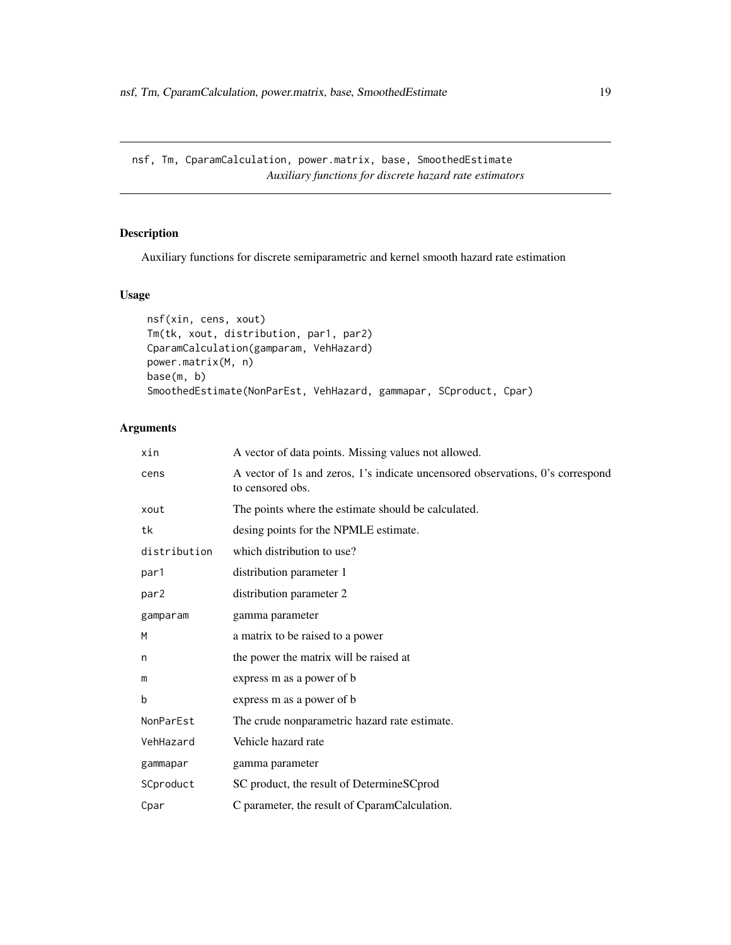<span id="page-18-0"></span>nsf, Tm, CparamCalculation, power.matrix, base, SmoothedEstimate *Auxiliary functions for discrete hazard rate estimators*

#### Description

Auxiliary functions for discrete semiparametric and kernel smooth hazard rate estimation

### Usage

```
nsf(xin, cens, xout)
Tm(tk, xout, distribution, par1, par2)
CparamCalculation(gamparam, VehHazard)
power.matrix(M, n)
base(m, b)
SmoothedEstimate(NonParEst, VehHazard, gammapar, SCproduct, Cpar)
```

| xin              | A vector of data points. Missing values not allowed.                                               |
|------------------|----------------------------------------------------------------------------------------------------|
| cens             | A vector of 1s and zeros, 1's indicate uncensored observations, 0's correspond<br>to censored obs. |
| xout             | The points where the estimate should be calculated.                                                |
| tk               | desing points for the NPMLE estimate.                                                              |
| distribution     | which distribution to use?                                                                         |
| par1             | distribution parameter 1                                                                           |
| par <sub>2</sub> | distribution parameter 2                                                                           |
| gamparam         | gamma parameter                                                                                    |
| M                | a matrix to be raised to a power                                                                   |
| n                | the power the matrix will be raised at                                                             |
| m                | express m as a power of b                                                                          |
| b                | express m as a power of b                                                                          |
| NonParEst        | The crude nonparametric hazard rate estimate.                                                      |
| VehHazard        | Vehicle hazard rate                                                                                |
| gammapar         | gamma parameter                                                                                    |
| SCproduct        | SC product, the result of DetermineSCprod                                                          |
| Cpar             | C parameter, the result of CparamCalculation.                                                      |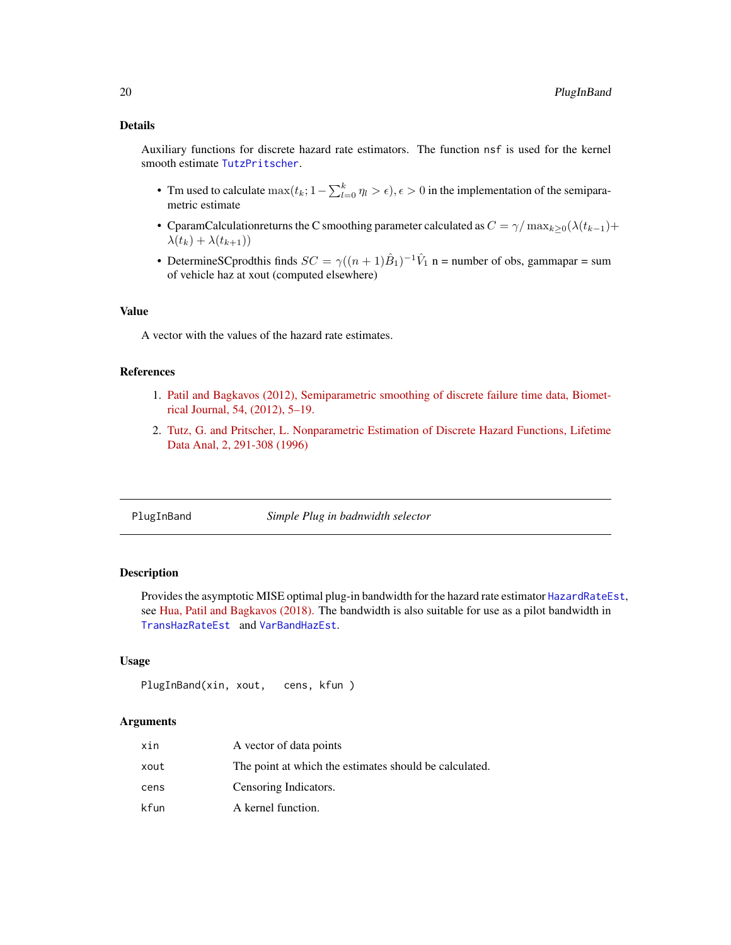#### <span id="page-19-0"></span>Details

Auxiliary functions for discrete hazard rate estimators. The function nsf is used for the kernel smooth estimate [TutzPritscher](#page-28-1).

- Tm used to calculate  $\max(t_k; 1 \sum_{l=0}^k \eta_l > \epsilon)$ ,  $\epsilon > 0$  in the implementation of the semiparametric estimate
- CparamCalculationreturns the C smoothing parameter calculated as  $C = \gamma / \max_{k \geq 0} (\lambda(t_{k-1}) +$  $\lambda(t_k) + \lambda(t_{k+1})$
- DetermineSCprodthis finds  $SC = \gamma((n+1)\hat{B}_1)^{-1}\hat{V}_1$  n = number of obs, gammapar = sum of vehicle haz at xout (computed elsewhere)

#### Value

A vector with the values of the hazard rate estimates.

#### References

- 1. [Patil and Bagkavos \(2012\), Semiparametric smoothing of discrete failure time data, Biomet](https://onlinelibrary.wiley.com/doi/abs/10.1002/bimj.201100058)[rical Journal, 54, \(2012\), 5–19.](https://onlinelibrary.wiley.com/doi/abs/10.1002/bimj.201100058)
- 2. [Tutz, G. and Pritscher, L. Nonparametric Estimation of Discrete Hazard Functions, Lifetime](https://doi.org/10.1007/BF00128979) [Data Anal, 2, 291-308 \(1996\)](https://doi.org/10.1007/BF00128979)

<span id="page-19-1"></span>PlugInBand *Simple Plug in badnwidth selector*

#### **Description**

Provides the asymptotic MISE optimal plug-in bandwidth for the hazard rate estimator [HazardRateEst](#page-5-1), see [Hua, Patil and Bagkavos \(2018\).](https://onlinelibrary.wiley.com/doi/full/10.1111/anzs.12224) The bandwidth is also suitable for use as a pilot bandwidth in [TransHazRateEst](#page-26-1) and [VarBandHazEst](#page-29-1).

#### Usage

```
PlugInBand(xin, xout, cens, kfun )
```

| xin  | A vector of data points                                |
|------|--------------------------------------------------------|
| xout | The point at which the estimates should be calculated. |
| cens | Censoring Indicators.                                  |
| kfun | A kernel function.                                     |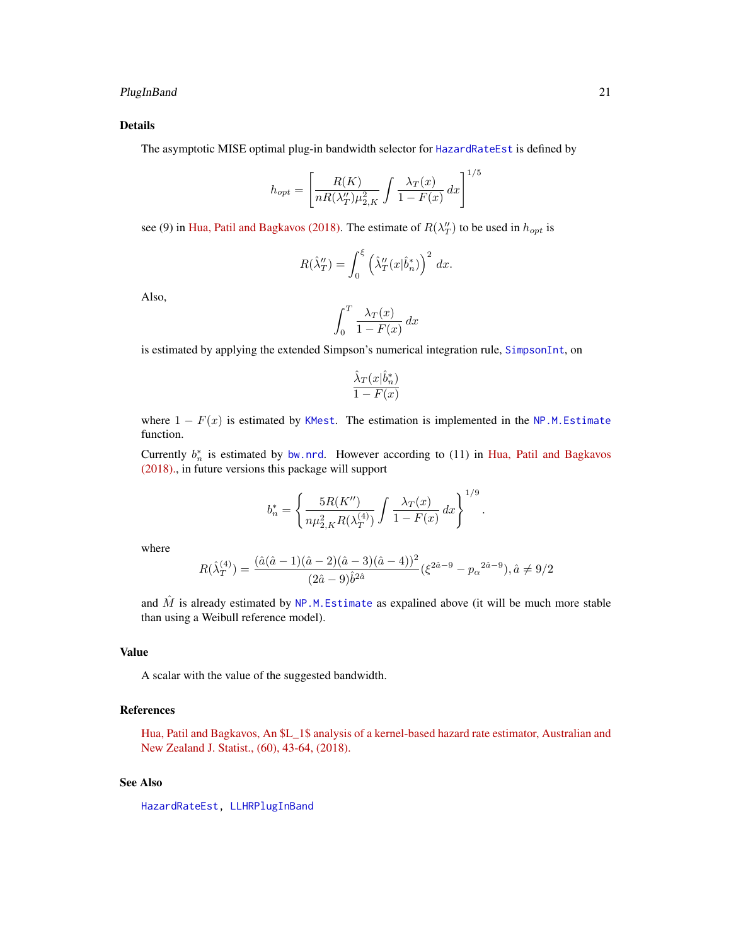#### <span id="page-20-0"></span>PlugInBand 21

#### Details

The asymptotic MISE optimal plug-in bandwidth selector for [HazardRateEst](#page-5-1) is defined by

$$
h_{opt} = \left[ \frac{R(K)}{nR(\lambda_T'')\mu_{2,K}^2} \int \frac{\lambda_T(x)}{1 - F(x)} dx \right]^{1/5}
$$

see (9) in [Hua, Patil and Bagkavos \(2018\).](https://onlinelibrary.wiley.com/doi/full/10.1111/anzs.12224) The estimate of  $R(\lambda_T'')$  to be used in  $h_{opt}$  is

$$
R(\hat{\lambda}''_T) = \int_0^{\xi} \left(\hat{\lambda}''_T(x|\hat{b}^*_n)\right)^2 dx.
$$

Also,

$$
\int_0^T \frac{\lambda_T(x)}{1 - F(x)} dx
$$

is estimated by applying the extended Simpson's numerical integration rule, [SimpsonInt](#page-24-1), on

$$
\frac{\hat{\lambda}_T(x|\hat{b}_n^*)}{1 - F(x)}
$$

where  $1 - F(x)$  is estimated by [KMest](#page-10-1). The estimation is implemented in the [NP.M.Estimate](#page-17-1) function.

Currently  $b_n^*$  is estimated by [bw.nrd](#page-0-0). However according to (11) in [Hua, Patil and Bagkavos](https://onlinelibrary.wiley.com/doi/full/10.1111/anzs.12224) [\(2018\).,](https://onlinelibrary.wiley.com/doi/full/10.1111/anzs.12224) in future versions this package will support

$$
b_n^* = \left\{ \frac{5R(K'')}{n\mu_{2,K}^2 R(\lambda_T^{(4)})} \int \frac{\lambda_T(x)}{1 - F(x)} dx \right\}^{1/9}.
$$

where

$$
R(\hat{\lambda}_T^{(4)}) = \frac{(\hat{a}(\hat{a}-1)(\hat{a}-2)(\hat{a}-3)(\hat{a}-4))^2}{(2\hat{a}-9)\hat{b}^{2\hat{a}}}(\xi^{2\hat{a}-9} - p_\alpha^{2\hat{a}-9}), \hat{a} \neq 9/2
$$

and  $\hat{M}$  is already estimated by NP.M. Estimate as expalined above (it will be much more stable than using a Weibull reference model).

#### Value

A scalar with the value of the suggested bandwidth.

#### References

[Hua, Patil and Bagkavos, An \\$L\\_1\\$ analysis of a kernel-based hazard rate estimator, Australian and](https://onlinelibrary.wiley.com/doi/full/10.1111/anzs.12224) [New Zealand J. Statist., \(60\), 43-64, \(2018\).](https://onlinelibrary.wiley.com/doi/full/10.1111/anzs.12224)

#### See Also

[HazardRateEst,](#page-5-1) [LLHRPlugInBand](#page-13-1)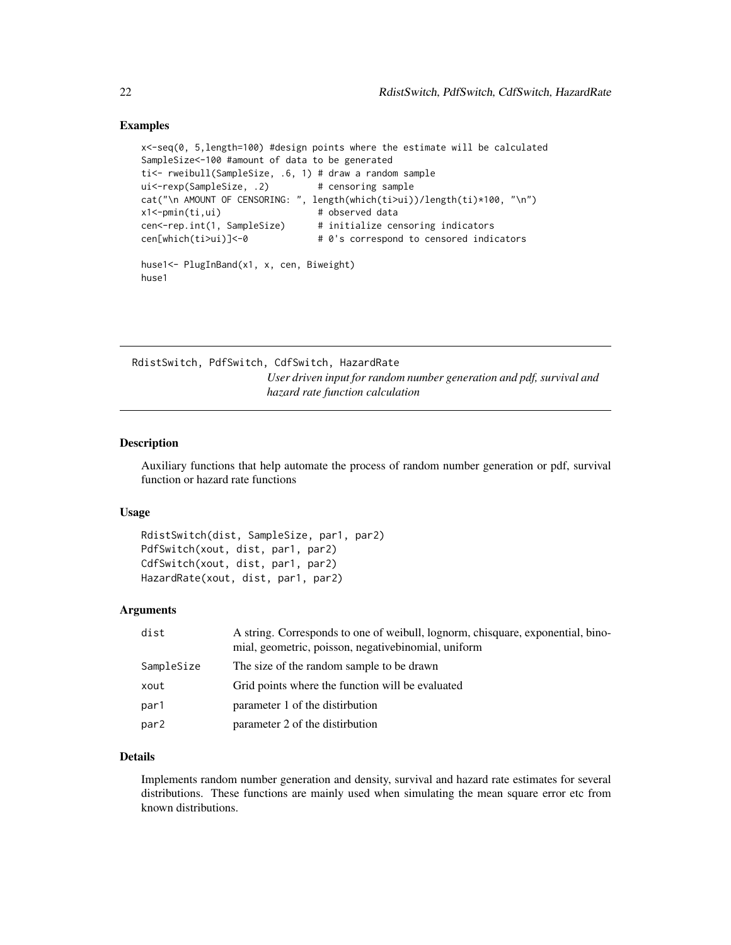#### <span id="page-21-0"></span>Examples

```
x<-seq(0, 5,length=100) #design points where the estimate will be calculated
SampleSize<-100 #amount of data to be generated
ti<- rweibull(SampleSize, .6, 1) # draw a random sample
ui<-rexp(SampleSize, .2) # censoring sample
cat("\n AMOUNT OF CENSORING: ", length(which(ti>ui))/length(ti)*100, "\n")
x1<-pmin(ti,ui) # observed data
cen<-rep.int(1, SampleSize) # initialize censoring indicators
cen[which(ti>ui)]<-0 # 0's correspond to censored indicators
huse1<- PlugInBand(x1, x, cen, Biweight)
huse1
```
RdistSwitch, PdfSwitch, CdfSwitch, HazardRate *User driven input for random number generation and pdf, survival and hazard rate function calculation*

#### Description

Auxiliary functions that help automate the process of random number generation or pdf, survival function or hazard rate functions

#### Usage

```
RdistSwitch(dist, SampleSize, par1, par2)
PdfSwitch(xout, dist, par1, par2)
CdfSwitch(xout, dist, par1, par2)
HazardRate(xout, dist, par1, par2)
```
#### Arguments

| dist             | A string. Corresponds to one of weibull, lognorm, chisquare, exponential, bino-<br>mial, geometric, poisson, negativebinomial, uniform |
|------------------|----------------------------------------------------------------------------------------------------------------------------------------|
| SampleSize       | The size of the random sample to be drawn                                                                                              |
| xout             | Grid points where the function will be evaluated                                                                                       |
| par1             | parameter 1 of the distirbution                                                                                                        |
| par <sub>2</sub> | parameter 2 of the distirbution                                                                                                        |

#### Details

Implements random number generation and density, survival and hazard rate estimates for several distributions. These functions are mainly used when simulating the mean square error etc from known distributions.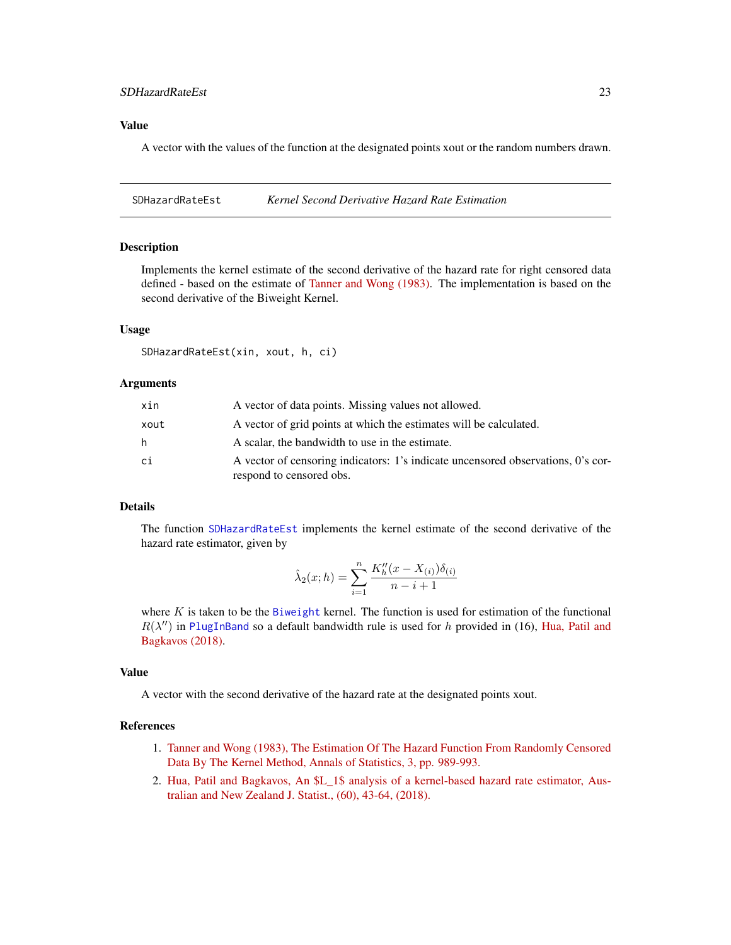#### <span id="page-22-0"></span>SDHazardRateEst 23

#### Value

A vector with the values of the function at the designated points xout or the random numbers drawn.

<span id="page-22-1"></span>SDHazardRateEst *Kernel Second Derivative Hazard Rate Estimation*

#### Description

Implements the kernel estimate of the second derivative of the hazard rate for right censored data defined - based on the estimate of [Tanner and Wong \(1983\).](https://projecteuclid.org/download/pdf_1/euclid.aos/1176346265) The implementation is based on the second derivative of the Biweight Kernel.

#### Usage

```
SDHazardRateEst(xin, xout, h, ci)
```
#### Arguments

| xin  | A vector of data points. Missing values not allowed.                                                         |
|------|--------------------------------------------------------------------------------------------------------------|
| xout | A vector of grid points at which the estimates will be calculated.                                           |
| h    | A scalar, the bandwidth to use in the estimate.                                                              |
| сi   | A vector of censoring indicators: 1's indicate uncensored observations, 0's cor-<br>respond to censored obs. |

#### Details

The function [SDHazardRateEst](#page-22-1) implements the kernel estimate of the second derivative of the hazard rate estimator, given by

$$
\hat{\lambda}_2(x; h) = \sum_{i=1}^n \frac{K_h''(x - X_{(i)})\delta_{(i)}}{n - i + 1}
$$

where  $K$  is taken to be the [Biweight](#page-9-1) kernel. The function is used for estimation of the functional  $R(\lambda'')$  in [PlugInBand](#page-19-1) so a default bandwidth rule is used for h provided in (16), [Hua, Patil and](https://onlinelibrary.wiley.com/doi/full/10.1111/anzs.12224) [Bagkavos \(2018\).](https://onlinelibrary.wiley.com/doi/full/10.1111/anzs.12224)

#### Value

A vector with the second derivative of the hazard rate at the designated points xout.

#### **References**

- 1. [Tanner and Wong \(1983\), The Estimation Of The Hazard Function From Randomly Censored](https://projecteuclid.org/download/pdf_1/euclid.aos/1176346265) [Data By The Kernel Method, Annals of Statistics, 3, pp. 989-993.](https://projecteuclid.org/download/pdf_1/euclid.aos/1176346265)
- 2. [Hua, Patil and Bagkavos, An \\$L\\_1\\$ analysis of a kernel-based hazard rate estimator, Aus](https://onlinelibrary.wiley.com/doi/full/10.1111/anzs.12224)[tralian and New Zealand J. Statist., \(60\), 43-64, \(2018\).](https://onlinelibrary.wiley.com/doi/full/10.1111/anzs.12224)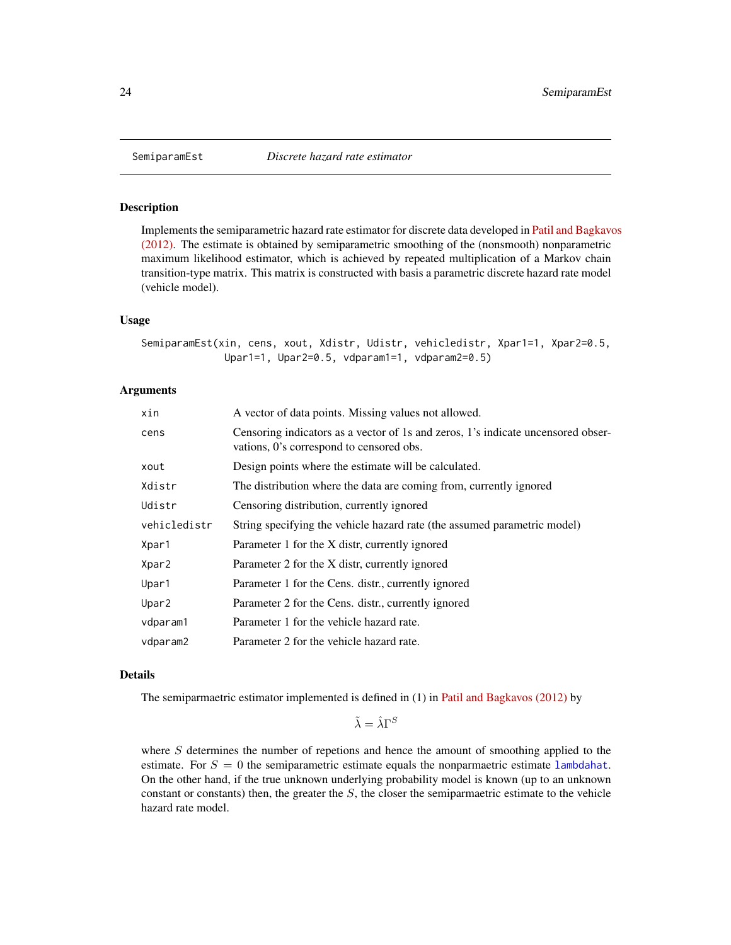<span id="page-23-1"></span><span id="page-23-0"></span>

#### Description

Implements the semiparametric hazard rate estimator for discrete data developed in [Patil and Bagkavo](https://onlinelibrary.wiley.com/doi/abs/10.1002/bimj.201100058)s [\(2012\).](https://onlinelibrary.wiley.com/doi/abs/10.1002/bimj.201100058) The estimate is obtained by semiparametric smoothing of the (nonsmooth) nonparametric maximum likelihood estimator, which is achieved by repeated multiplication of a Markov chain transition-type matrix. This matrix is constructed with basis a parametric discrete hazard rate model (vehicle model).

#### Usage

```
SemiparamEst(xin, cens, xout, Xdistr, Udistr, vehicledistr, Xpar1=1, Xpar2=0.5,
              Upar1=1, Upar2=0.5, vdparam1=1, vdparam2=0.5)
```
#### **Arguments**

| xin          | A vector of data points. Missing values not allowed.                                                                         |
|--------------|------------------------------------------------------------------------------------------------------------------------------|
| cens         | Censoring indicators as a vector of 1s and zeros, 1's indicate uncensored obser-<br>vations, 0's correspond to censored obs. |
| xout         | Design points where the estimate will be calculated.                                                                         |
| Xdistr       | The distribution where the data are coming from, currently ignored                                                           |
| Udistr       | Censoring distribution, currently ignored                                                                                    |
| vehicledistr | String specifying the vehicle hazard rate (the assumed parametric model)                                                     |
| Xpar1        | Parameter 1 for the X distr, currently ignored                                                                               |
| Xpar2        | Parameter 2 for the X distr, currently ignored                                                                               |
| Upar1        | Parameter 1 for the Cens. distr., currently ignored                                                                          |
| Upar2        | Parameter 2 for the Cens. distr., currently ignored                                                                          |
| vdparam1     | Parameter 1 for the vehicle hazard rate.                                                                                     |
| vdparam2     | Parameter 2 for the vehicle hazard rate.                                                                                     |
|              |                                                                                                                              |

#### Details

The semiparmaetric estimator implemented is defined in (1) in [Patil and Bagkavos \(2012\)](https://onlinelibrary.wiley.com/doi/abs/10.1002/bimj.201100058) by

 $\tilde{\lambda} = \hat{\lambda} \Gamma^S$ 

where  $S$  determines the number of repetions and hence the amount of smoothing applied to the estimate. For  $S = 0$  the semiparametric estimate equals the nonparmaetric estimate [lambdahat](#page-12-1). On the other hand, if the true unknown underlying probability model is known (up to an unknown constant or constants) then, the greater the  $S$ , the closer the semiparmaetric estimate to the vehicle hazard rate model.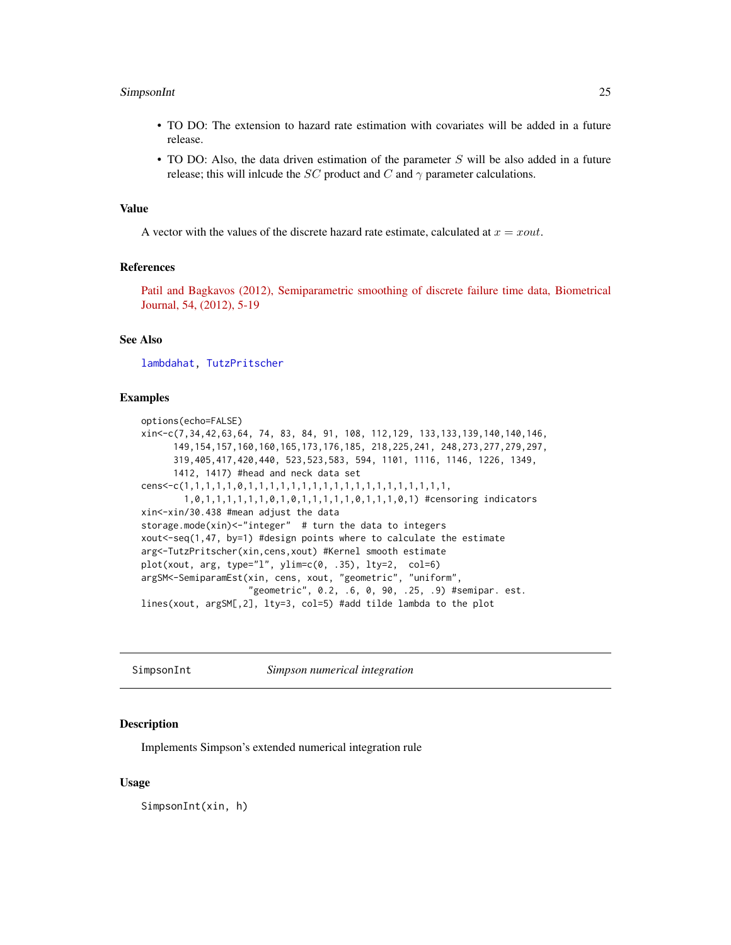#### <span id="page-24-0"></span>SimpsonInt 25

- TO DO: The extension to hazard rate estimation with covariates will be added in a future release.
- TO DO: Also, the data driven estimation of the parameter  $S$  will be also added in a future release; this will inlcude the SC product and C and  $\gamma$  parameter calculations.

#### Value

A vector with the values of the discrete hazard rate estimate, calculated at  $x = xout$ .

#### References

[Patil and Bagkavos \(2012\), Semiparametric smoothing of discrete failure time data, Biometrical](https://onlinelibrary.wiley.com/doi/abs/10.1002/bimj.201100058) [Journal, 54, \(2012\), 5-19](https://onlinelibrary.wiley.com/doi/abs/10.1002/bimj.201100058)

#### See Also

[lambdahat,](#page-12-1) [TutzPritscher](#page-28-1)

#### Examples

```
options(echo=FALSE)
xin<-c(7,34,42,63,64, 74, 83, 84, 91, 108, 112,129, 133,133,139,140,140,146,
      149,154,157,160,160,165,173,176,185, 218,225,241, 248,273,277,279,297,
      319,405,417,420,440, 523,523,583, 594, 1101, 1116, 1146, 1226, 1349,
      1412, 1417) #head and neck data set
cens<-c(1,1,1,1,1,0,1,1,1,1,1,1,1,1,1,1,1,1,1,1,1,1,1,1,1,
        1,0,1,1,1,1,1,1,0,1,0,1,1,1,1,1,0,1,1,1,0,1) #censoring indicators
xin<-xin/30.438 #mean adjust the data
storage.mode(xin)<-"integer" # turn the data to integers
xout<-seq(1,47, by=1) #design points where to calculate the estimate
arg<-TutzPritscher(xin,cens,xout) #Kernel smooth estimate
plot(xout, arg, type="l", ylim=c(0, .35), lty=2, col=6)
argSM<-SemiparamEst(xin, cens, xout, "geometric", "uniform",
                    "geometric", 0.2, .6, 0, 90, .25, .9) #semipar. est.
lines(xout, argSM[,2], lty=3, col=5) #add tilde lambda to the plot
```
<span id="page-24-1"></span>SimpsonInt *Simpson numerical integration*

#### Description

Implements Simpson's extended numerical integration rule

#### Usage

SimpsonInt(xin, h)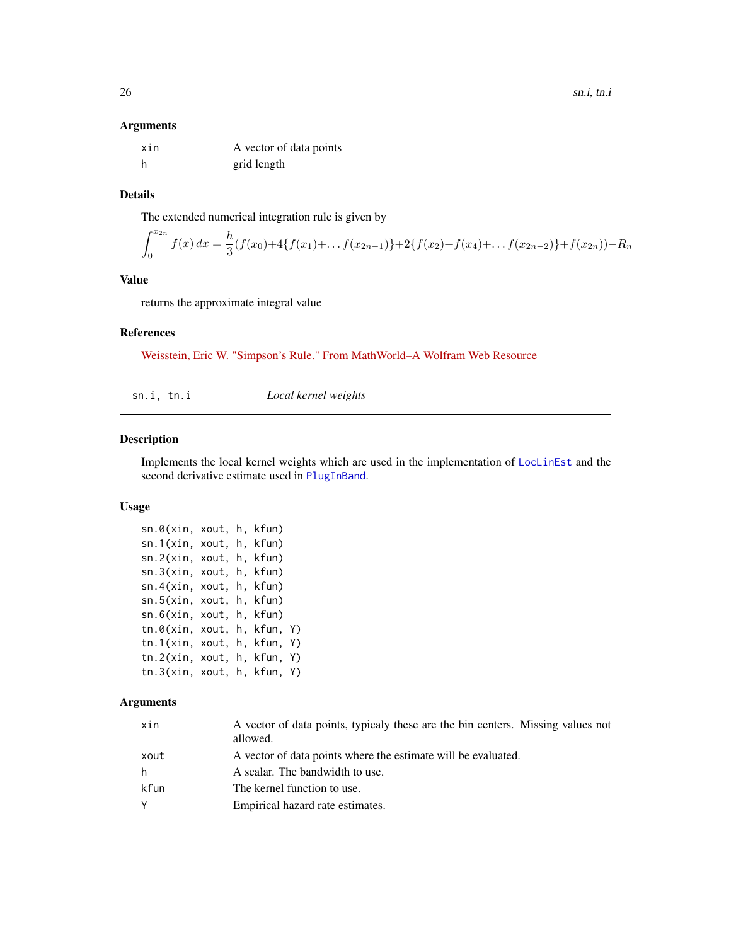#### <span id="page-25-0"></span>Arguments

| xin | A vector of data points |
|-----|-------------------------|
| -h  | grid length             |

#### Details

The extended numerical integration rule is given by

$$
\int_0^{x_{2n}} f(x) dx = \frac{h}{3} (f(x_0) + 4\{f(x_1) + \dots + f(x_{2n-1})\} + 2\{f(x_2) + f(x_4) + \dots + f(x_{2n-2})\} + f(x_{2n})) - R_n
$$

#### Value

returns the approximate integral value

#### References

[Weisstein, Eric W. "Simpson's Rule." From MathWorld–A Wolfram Web Resource](http://mathworld.wolfram.com/SimpsonsRule.html)

sn.i, tn.i *Local kernel weights*

#### Description

Implements the local kernel weights which are used in the implementation of [LocLinEst](#page-15-1) and the second derivative estimate used in [PlugInBand](#page-19-1).

#### Usage

```
sn.0(xin, xout, h, kfun)
sn.1(xin, xout, h, kfun)
sn.2(xin, xout, h, kfun)
sn.3(xin, xout, h, kfun)
sn.4(xin, xout, h, kfun)
sn.5(xin, xout, h, kfun)
sn.6(xin, xout, h, kfun)
tn.0(xin, xout, h, kfun, Y)
tn.1(xin, xout, h, kfun, Y)
tn.2(xin, xout, h, kfun, Y)
tn.3(xin, xout, h, kfun, Y)
```

| xin  | A vector of data points, typicaly these are the bin centers. Missing values not<br>allowed. |
|------|---------------------------------------------------------------------------------------------|
| xout | A vector of data points where the estimate will be evaluated.                               |
| h.   | A scalar. The bandwidth to use.                                                             |
| kfun | The kernel function to use.                                                                 |
| Y    | Empirical hazard rate estimates.                                                            |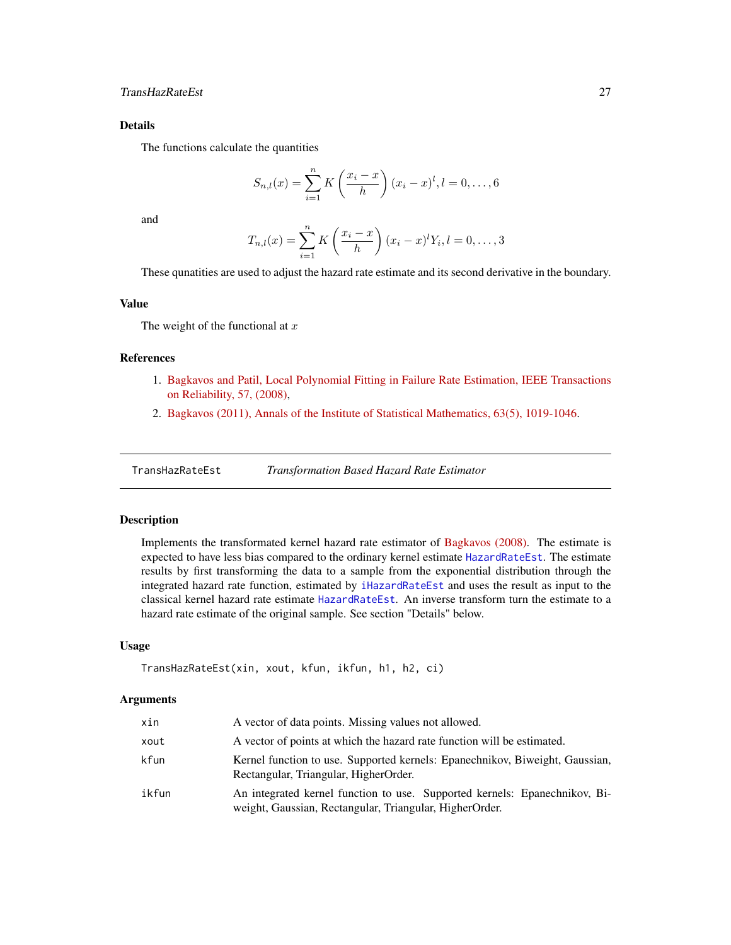#### <span id="page-26-0"></span>Details

The functions calculate the quantities

$$
S_{n,l}(x) = \sum_{i=1}^{n} K\left(\frac{x_i - x}{h}\right) (x_i - x)^l, l = 0, \dots, 6
$$

and

$$
T_{n,l}(x) = \sum_{i=1}^{n} K\left(\frac{x_i - x}{h}\right) (x_i - x)^l Y_i, l = 0, \dots, 3
$$

These qunatities are used to adjust the hazard rate estimate and its second derivative in the boundary.

#### Value

The weight of the functional at  $x$ 

#### References

- 1. [Bagkavos and Patil, Local Polynomial Fitting in Failure Rate Estimation, IEEE Transactions](https://ieeexplore.ieee.org/document/4385743) [on Reliability, 57, \(2008\),](https://ieeexplore.ieee.org/document/4385743)
- 2. [Bagkavos \(2011\), Annals of the Institute of Statistical Mathematics, 63\(5\), 1019-1046.](https://link.springer.com/article/10.1007/s10463-010-0277-6)

<span id="page-26-1"></span>TransHazRateEst *Transformation Based Hazard Rate Estimator*

#### Description

Implements the transformated kernel hazard rate estimator of [Bagkavos \(2008\).](http://dx.doi.org/10.1080/10485250802440184) The estimate is expected to have less bias compared to the ordinary kernel estimate [HazardRateEst](#page-5-1). The estimate results by first transforming the data to a sample from the exponential distribution through the integrated hazard rate function, estimated by [iHazardRateEst](#page-8-1) and uses the result as input to the classical kernel hazard rate estimate [HazardRateEst](#page-5-1). An inverse transform turn the estimate to a hazard rate estimate of the original sample. See section "Details" below.

#### Usage

```
TransHazRateEst(xin, xout, kfun, ikfun, h1, h2, ci)
```

| xin   | A vector of data points. Missing values not allowed.                                                                                  |
|-------|---------------------------------------------------------------------------------------------------------------------------------------|
| xout  | A vector of points at which the hazard rate function will be estimated.                                                               |
| kfun  | Kernel function to use. Supported kernels: Epanechnikov, Biweight, Gaussian,<br>Rectangular, Triangular, HigherOrder.                 |
| ikfun | An integrated kernel function to use. Supported kernels: Epanechnikov, Bi-<br>weight, Gaussian, Rectangular, Triangular, HigherOrder. |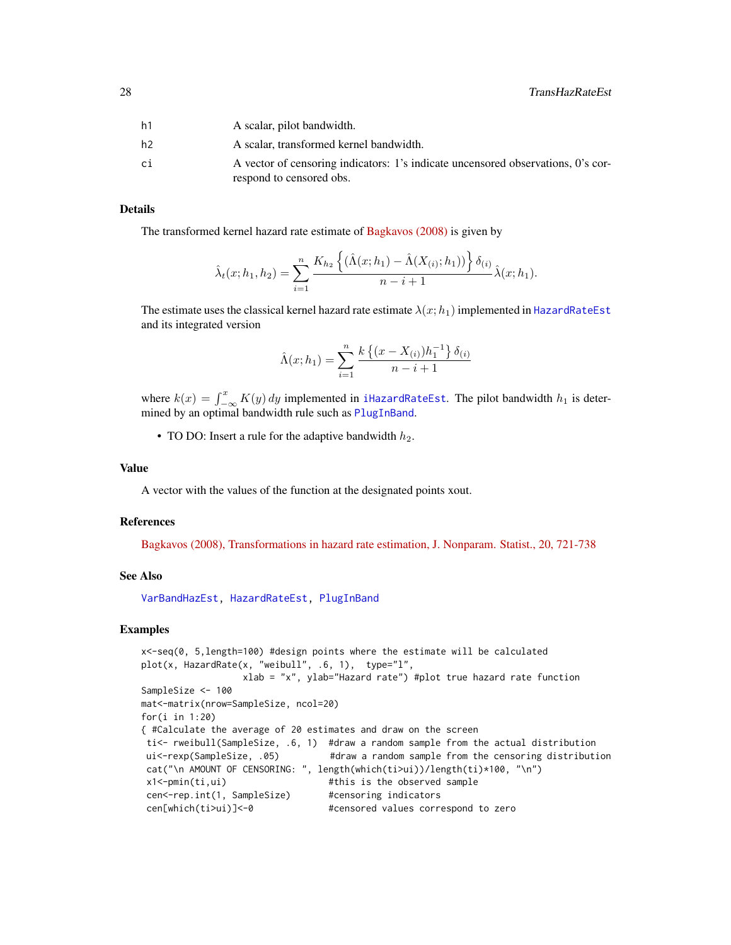<span id="page-27-0"></span>

| h1 | A scalar, pilot bandwidth.                                                                                   |
|----|--------------------------------------------------------------------------------------------------------------|
| h2 | A scalar, transformed kernel bandwidth.                                                                      |
| сi | A vector of censoring indicators: 1's indicate uncensored observations, 0's cor-<br>respond to censored obs. |

#### Details

The transformed kernel hazard rate estimate of [Bagkavos \(2008\)](http://dx.doi.org/10.1080/10485250802440184) is given by

$$
\hat{\lambda}_t(x; h_1, h_2) = \sum_{i=1}^n \frac{K_{h_2} \left\{ (\hat{\Lambda}(x; h_1) - \hat{\Lambda}(X_{(i)}; h_1)) \right\} \delta_{(i)}}{n - i + 1} \hat{\lambda}(x; h_1).
$$

The estimate uses the classical kernel hazard rate estimate  $\lambda(x; h_1)$  implemented in [HazardRateEst](#page-5-1) and its integrated version

$$
\hat{\Lambda}(x; h_1) = \sum_{i=1}^{n} \frac{k \left\{ (x - X_{(i)}) h_1^{-1} \right\} \delta_{(i)}}{n - i + 1}
$$

where  $k(x) = \int_{-\infty}^{x} K(y) dy$  implemented in [iHazardRateEst](#page-8-1). The pilot bandwidth  $h_1$  is determined by an optimal bandwidth rule such as [PlugInBand](#page-19-1).

• TO DO: Insert a rule for the adaptive bandwidth  $h_2$ .

#### Value

A vector with the values of the function at the designated points xout.

#### References

[Bagkavos \(2008\), Transformations in hazard rate estimation, J. Nonparam. Statist., 20, 721-738](http://dx.doi.org/10.1080/10485250802440184)

#### See Also

[VarBandHazEst,](#page-29-1) [HazardRateEst,](#page-5-1) [PlugInBand](#page-19-1)

#### Examples

```
x<-seq(0, 5,length=100) #design points where the estimate will be calculated
plot(x, HazardRate(x, "weibull", .6, 1), type="l",
                 xlab = "x", ylab="Hazard rate") #plot true hazard rate function
SampleSize <- 100
mat<-matrix(nrow=SampleSize, ncol=20)
for(i in 1:20)
{ #Calculate the average of 20 estimates and draw on the screen
ti<- rweibull(SampleSize, .6, 1) #draw a random sample from the actual distribution
ui<-rexp(SampleSize, .05) #draw a random sample from the censoring distribution
cat("\n AMOUNT OF CENSORING: ", length(which(ti>ui))/length(ti)*100, "\n")
x1<-pmin(ti,ui) #this is the observed sample
cen<-rep.int(1, SampleSize) #censoring indicators
cen[which(ti>ui)]<-0 #censored values correspond to zero
```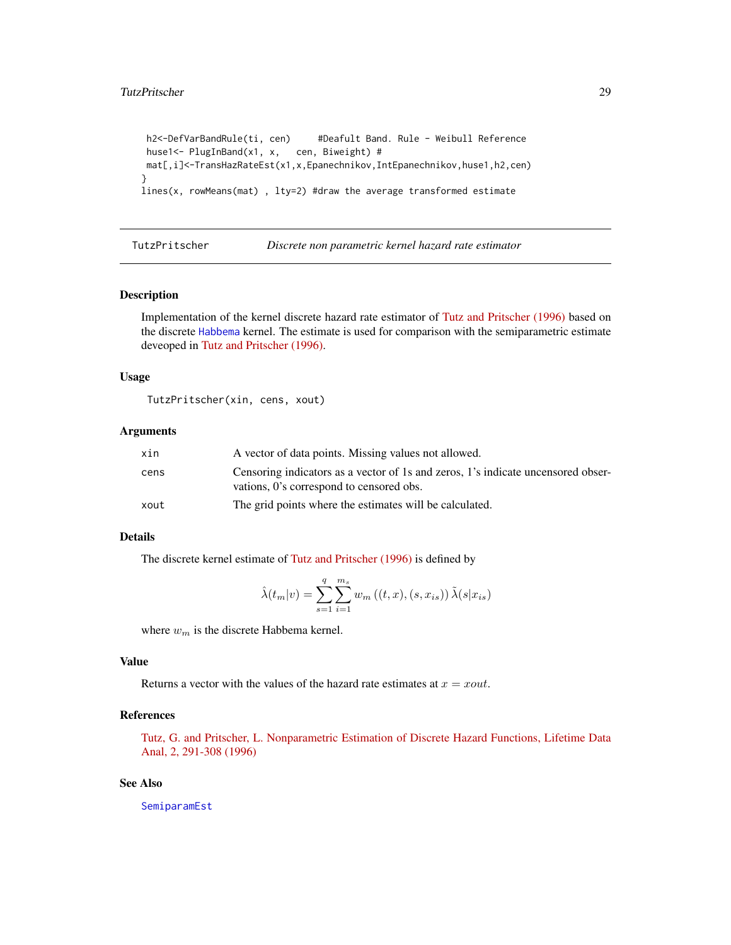#### <span id="page-28-0"></span>TutzPritscher 29

```
h2<-DefVarBandRule(ti, cen) #Deafult Band. Rule - Weibull Reference
huse1<- PlugInBand(x1, x, cen, Biweight) #
mat[,i]<-TransHazRateEst(x1,x,Epanechnikov,IntEpanechnikov,huse1,h2,cen)
}
lines(x, rowMeans(mat) , lty=2) #draw the average transformed estimate
```
<span id="page-28-1"></span>

TutzPritscher *Discrete non parametric kernel hazard rate estimator*

#### Description

Implementation of the kernel discrete hazard rate estimator of [Tutz and Pritscher \(1996\)](https://doi.org/10.1007/BF00128979) based on the discrete [Habbema](#page-9-1) kernel. The estimate is used for comparison with the semiparametric estimate deveoped in [Tutz and Pritscher \(1996\).](https://doi.org/10.1007/BF00128979)

#### Usage

TutzPritscher(xin, cens, xout)

#### Arguments

| xin  | A vector of data points. Missing values not allowed.                                                                         |
|------|------------------------------------------------------------------------------------------------------------------------------|
| cens | Censoring indicators as a vector of 1s and zeros, 1's indicate uncensored obser-<br>vations, 0's correspond to censored obs. |
| xout | The grid points where the estimates will be calculated.                                                                      |

#### Details

The discrete kernel estimate of [Tutz and Pritscher \(1996\)](https://doi.org/10.1007/BF00128979) is defined by

$$
\hat{\lambda}(t_m|v) = \sum_{s=1}^{q} \sum_{i=1}^{m_s} w_m((t, x), (s, x_{is})) \tilde{\lambda}(s|x_{is})
$$

where  $w_m$  is the discrete Habbema kernel.

#### Value

Returns a vector with the values of the hazard rate estimates at  $x = xout$ .

#### References

[Tutz, G. and Pritscher, L. Nonparametric Estimation of Discrete Hazard Functions, Lifetime Data](https://doi.org/10.1007/BF00128979) [Anal, 2, 291-308 \(1996\)](https://doi.org/10.1007/BF00128979)

#### See Also

[SemiparamEst](#page-23-1)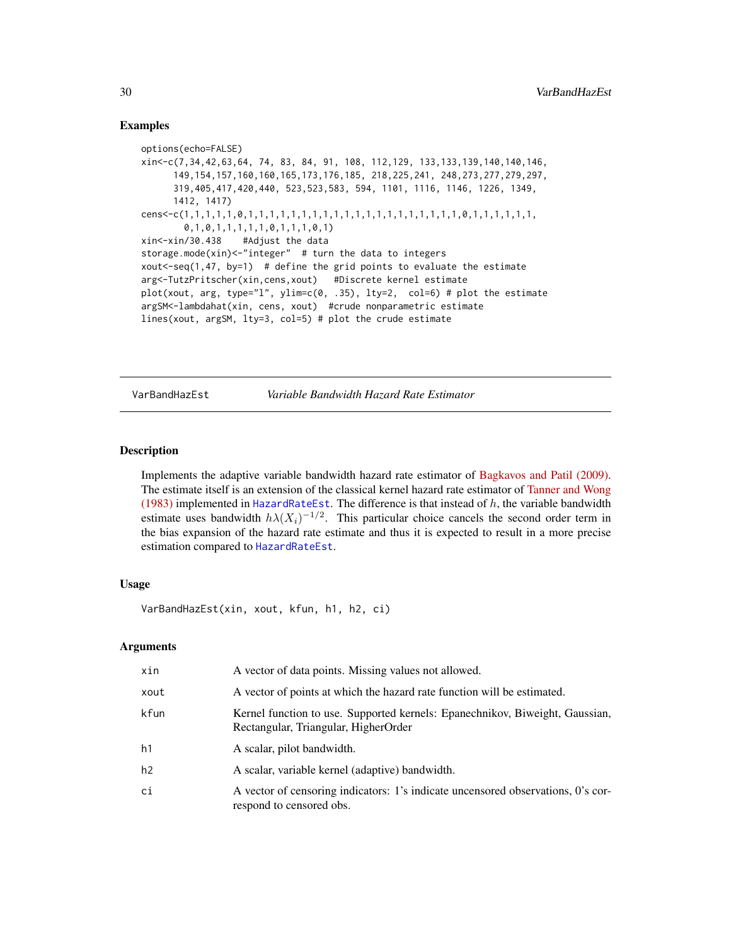#### Examples

```
options(echo=FALSE)
xin<-c(7,34,42,63,64, 74, 83, 84, 91, 108, 112,129, 133,133,139,140,140,146,
      149,154,157,160,160,165,173,176,185, 218,225,241, 248,273,277,279,297,
      319,405,417,420,440, 523,523,583, 594, 1101, 1116, 1146, 1226, 1349,
     1412, 1417)
cens<-c(1,1,1,1,1,0,1,1,1,1,1,1,1,1,1,1,1,1,1,1,1,1,1,1,1,1,0,1,1,1,1,1,1,
       0,1,0,1,1,1,1,1,0,1,1,1,0,1)
xin<-xin/30.438 #Adjust the data
storage.mode(xin)<-"integer" # turn the data to integers
xout <- seq(1,47, by=1) # define the grid points to evaluate the estimate
arg<-TutzPritscher(xin,cens,xout) #Discrete kernel estimate
plot(xout, arg, type="1", ylim=c(0, .35), lty=2, col=6) # plot the estimate
argSM<-lambdahat(xin, cens, xout) #crude nonparametric estimate
lines(xout, argSM, lty=3, col=5) # plot the crude estimate
```
<span id="page-29-1"></span>VarBandHazEst *Variable Bandwidth Hazard Rate Estimator*

#### **Description**

Implements the adaptive variable bandwidth hazard rate estimator of [Bagkavos and Patil \(2009\).](http://dx.doi.org/10.1080/03610920802364088) The estimate itself is an extension of the classical kernel hazard rate estimator of [Tanner and Wong](https://projecteuclid.org/download/pdf_1/euclid.aos/1176346265) [\(1983\)](https://projecteuclid.org/download/pdf_1/euclid.aos/1176346265) implemented in [HazardRateEst](#page-5-1). The difference is that instead of  $h$ , the variable bandwidth estimate uses bandwidth  $h\lambda(X_i)^{-1/2}$ . This particular choice cancels the second order term in the bias expansion of the hazard rate estimate and thus it is expected to result in a more precise estimation compared to [HazardRateEst](#page-5-1).

#### Usage

VarBandHazEst(xin, xout, kfun, h1, h2, ci)

| xin  | A vector of data points. Missing values not allowed.                                                                 |
|------|----------------------------------------------------------------------------------------------------------------------|
| xout | A vector of points at which the hazard rate function will be estimated.                                              |
| kfun | Kernel function to use. Supported kernels: Epanechnikov, Biweight, Gaussian,<br>Rectangular, Triangular, HigherOrder |
| h1   | A scalar, pilot bandwidth.                                                                                           |
| h2   | A scalar, variable kernel (adaptive) bandwidth.                                                                      |
| ci   | A vector of censoring indicators: 1's indicate uncensored observations, 0's cor-<br>respond to censored obs.         |

<span id="page-29-0"></span>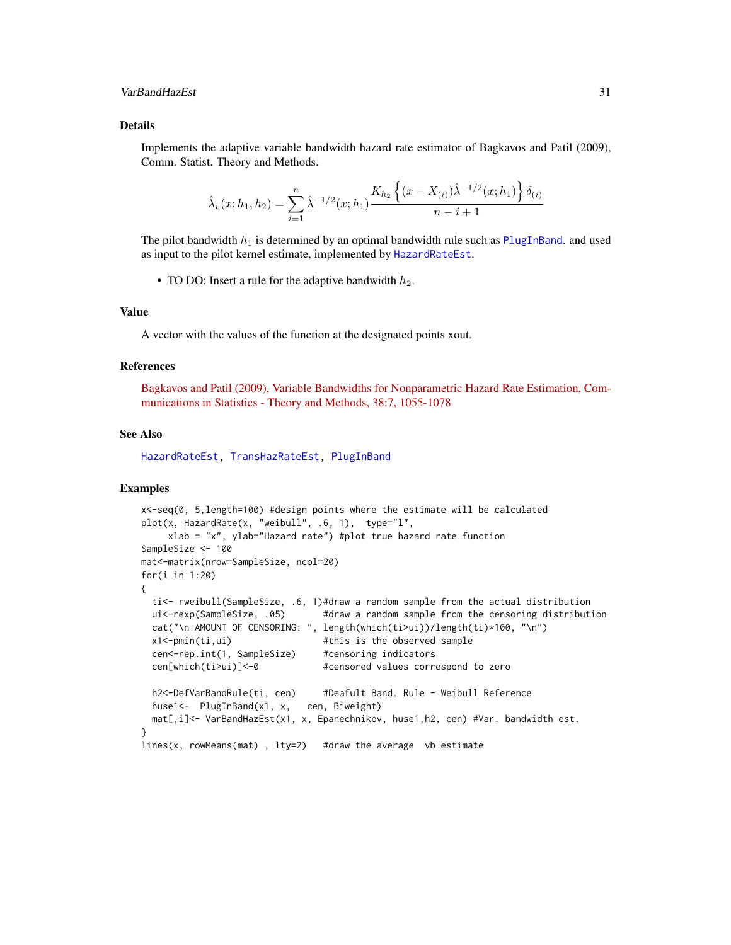#### <span id="page-30-0"></span>VarBandHazEst 31

#### Details

Implements the adaptive variable bandwidth hazard rate estimator of Bagkavos and Patil (2009), Comm. Statist. Theory and Methods.

$$
\hat{\lambda}_v(x; h_1, h_2) = \sum_{i=1}^n \hat{\lambda}^{-1/2}(x; h_1) \frac{K_{h_2} \left\{ (x - X_{(i)}) \hat{\lambda}^{-1/2}(x; h_1) \right\} \delta_{(i)}}{n - i + 1}
$$

The pilot bandwidth  $h_1$  is determined by an optimal bandwidth rule such as [PlugInBand](#page-19-1). and used as input to the pilot kernel estimate, implemented by [HazardRateEst](#page-5-1).

• TO DO: Insert a rule for the adaptive bandwidth  $h_2$ .

#### Value

A vector with the values of the function at the designated points xout.

#### References

[Bagkavos and Patil \(2009\), Variable Bandwidths for Nonparametric Hazard Rate Estimation, Com](http://dx.doi.org/10.1080/03610920802364088)[munications in Statistics - Theory and Methods, 38:7, 1055-1078](http://dx.doi.org/10.1080/03610920802364088)

#### See Also

[HazardRateEst,](#page-5-1) [TransHazRateEst,](#page-26-1) [PlugInBand](#page-19-1)

#### Examples

```
x<-seq(0, 5,length=100) #design points where the estimate will be calculated
plot(x, HazardRate(x, "weibull", .6, 1), type="l",
    xlab = "x", ylab="Hazard rate") #plot true hazard rate function
SampleSize <- 100
mat<-matrix(nrow=SampleSize, ncol=20)
for(i in 1:20)
{
 ti<- rweibull(SampleSize, .6, 1)#draw a random sample from the actual distribution
 ui<-rexp(SampleSize, .05) #draw a random sample from the censoring distribution
 cat("\n AMOUNT OF CENSORING: ", length(which(ti>ui))/length(ti)*100, "\n")
 x1<-pmin(ti,ui) #this is the observed sample
 cen<-rep.int(1, SampleSize) #censoring indicators
 cen[which(ti>ui)]<-0 #censored values correspond to zero
 h2<-DefVarBandRule(ti, cen) #Deafult Band. Rule - Weibull Reference
 huse1<- PlugInBand(x1, x, cen, Biweight)
 mat[,i]<- VarBandHazEst(x1, x, Epanechnikov, huse1,h2, cen) #Var. bandwidth est.
}
lines(x, rowMeans(mat) , lty=2) #draw the average vb estimate
```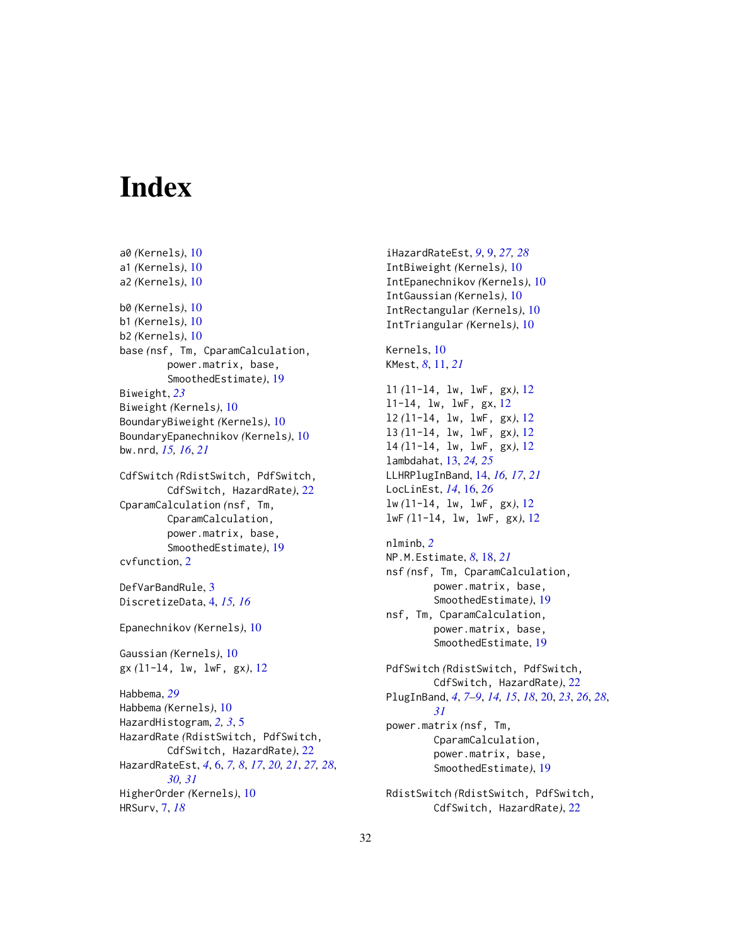# <span id="page-31-0"></span>Index

```
a0 (Kernels), 10
a1 (Kernels), 10
a2 (Kernels), 10
b0 (Kernels), 10
b1 (Kernels), 10
b2 (Kernels), 10
base (nsf, Tm, CparamCalculation,
        power.matrix, base,
         SmoothedEstimate), 19
Biweight, 23
Biweight (Kernels), 10
BoundaryBiweight (Kernels), 10
BoundaryEpanechnikov (Kernels), 10
bw.nrd, 15, 16, 21
CdfSwitch (RdistSwitch, PdfSwitch,
        CdfSwitch, HazardRate), 22
CparamCalculation (nsf, Tm,
        CparamCalculation,
        power.matrix, base,
         SmoothedEstimate), 19
cvfunction, 2
DefVarBandRule, 3
DiscretizeData, 4, 15, 16
Epanechnikov (Kernels), 10
Gaussian (Kernels), 10
gx (l1-l4, lw, lwF, gx), 12
Habbema, 29
Habbema (Kernels), 10
HazardHistogram, 2, 3, 5
HazardRate (RdistSwitch, PdfSwitch,
        CdfSwitch, HazardRate), 22
HazardRateEst, 4, 6, 7, 8, 17, 20, 21, 27, 28,
        30, 31
HigherOrder (Kernels), 10
HRSurv, 7, 18
```
iHazardRateEst, *[9](#page-8-0)*, [9,](#page-8-0) *[27,](#page-26-0) [28](#page-27-0)* IntBiweight *(*Kernels*)*, [10](#page-9-0) IntEpanechnikov *(*Kernels*)*, [10](#page-9-0) IntGaussian *(*Kernels*)*, [10](#page-9-0) IntRectangular *(*Kernels*)*, [10](#page-9-0) IntTriangular *(*Kernels*)*, [10](#page-9-0) Kernels, [10](#page-9-0) KMest, *[8](#page-7-0)*, [11,](#page-10-0) *[21](#page-20-0)* l1 *(*l1-l4, lw, lwF, gx*)*, [12](#page-11-0) l1-l4, lw, lwF, gx, [12](#page-11-0) l2 *(*l1-l4, lw, lwF, gx*)*, [12](#page-11-0) l3 *(*l1-l4, lw, lwF, gx*)*, [12](#page-11-0) l4 *(*l1-l4, lw, lwF, gx*)*, [12](#page-11-0) lambdahat, [13,](#page-12-0) *[24,](#page-23-0) [25](#page-24-0)* LLHRPlugInBand, [14,](#page-13-0) *[16,](#page-15-0) [17](#page-16-0)*, *[21](#page-20-0)* LocLinEst, *[14](#page-13-0)*, [16,](#page-15-0) *[26](#page-25-0)* lw *(*l1-l4, lw, lwF, gx*)*, [12](#page-11-0) lwF *(*l1-l4, lw, lwF, gx*)*, [12](#page-11-0) nlminb, *[2](#page-1-0)* NP.M.Estimate, *[8](#page-7-0)*, [18,](#page-17-0) *[21](#page-20-0)* nsf *(*nsf, Tm, CparamCalculation, power.matrix, base, SmoothedEstimate*)*, [19](#page-18-0) nsf, Tm, CparamCalculation, power.matrix, base, SmoothedEstimate, [19](#page-18-0) PdfSwitch *(*RdistSwitch, PdfSwitch, CdfSwitch, HazardRate*)*, [22](#page-21-0) PlugInBand, *[4](#page-3-0)*, *[7](#page-6-0)[–9](#page-8-0)*, *[14,](#page-13-0) [15](#page-14-0)*, *[18](#page-17-0)*, [20,](#page-19-0) *[23](#page-22-0)*, *[26](#page-25-0)*, *[28](#page-27-0)*, *[31](#page-30-0)* power.matrix *(*nsf, Tm, CparamCalculation, power.matrix, base, SmoothedEstimate*)*, [19](#page-18-0)

RdistSwitch *(*RdistSwitch, PdfSwitch, CdfSwitch, HazardRate*)*, [22](#page-21-0)